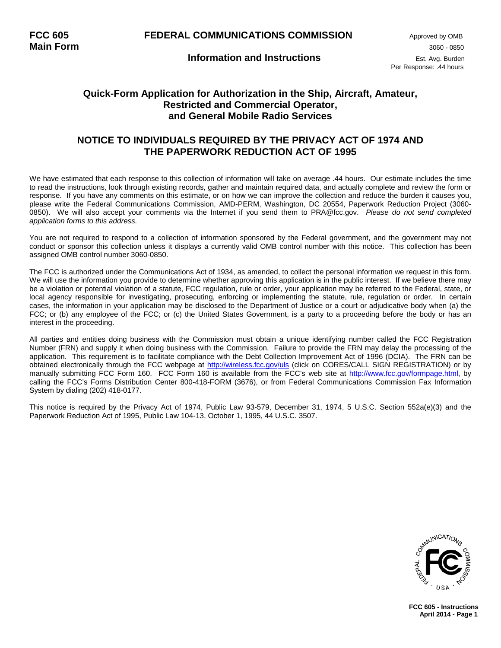### **Quick-Form Application for Authorization in the Ship, Aircraft, Amateur, Restricted and Commercial Operator, and General Mobile Radio Services**

### **NOTICE TO INDIVIDUALS REQUIRED BY THE PRIVACY ACT OF 1974 AND THE PAPERWORK REDUCTION ACT OF 1995**

We have estimated that each response to this collection of information will take on average .44 hours. Our estimate includes the time to read the instructions, look through existing records, gather and maintain required data, and actually complete and review the form or response. If you have any comments on this estimate, or on how we can improve the collection and reduce the burden it causes you, please write the Federal Communications Commission, AMD-PERM, Washington, DC 20554, Paperwork Reduction Project (3060- 0850). We will also accept your comments via the Internet if you send them to PRA@fcc.gov. *Please do not send completed application forms to this address.*

You are not required to respond to a collection of information sponsored by the Federal government, and the government may not conduct or sponsor this collection unless it displays a currently valid OMB control number with this notice. This collection has been assigned OMB control number 3060-0850.

The FCC is authorized under the Communications Act of 1934, as amended, to collect the personal information we request in this form. We will use the information you provide to determine whether approving this application is in the public interest. If we believe there may be a violation or potential violation of a statute, FCC regulation, rule or order, your application may be referred to the Federal, state, or local agency responsible for investigating, prosecuting, enforcing or implementing the statute, rule, regulation or order. In certain cases, the information in your application may be disclosed to the Department of Justice or a court or adjudicative body when (a) the FCC; or (b) any employee of the FCC; or (c) the United States Government, is a party to a proceeding before the body or has an interest in the proceeding.

All parties and entities doing business with the Commission must obtain a unique identifying number called the FCC Registration Number (FRN) and supply it when doing business with the Commission. Failure to provide the FRN may delay the processing of the application. This requirement is to facilitate compliance with the Debt Collection Improvement Act of 1996 (DCIA). The FRN can be obtained electronically through the FCC webpage at [http://wireless.fcc.gov/u](http://wireless.fcc.gov/)ls (click on CORES/CALL SIGN REGISTRATION) or by manually submitting FCC Form 160. FCC Form 160 is available from the FCC's web site at [http://www.fcc.gov/formpage.html,](http://www.fcc.gov/formpage.html) by calling the FCC's Forms Distribution Center 800-418-FORM (3676), or from Federal Communications Commission Fax Information System by dialing (202) 418-0177.

This notice is required by the Privacy Act of 1974, Public Law 93-579, December 31, 1974, 5 U.S.C. Section 552a(e)(3) and the Paperwork Reduction Act of 1995, Public Law 104-13, October 1, 1995, 44 U.S.C. 3507.



**FCC 605 - Instructions April 2014 - Page 1**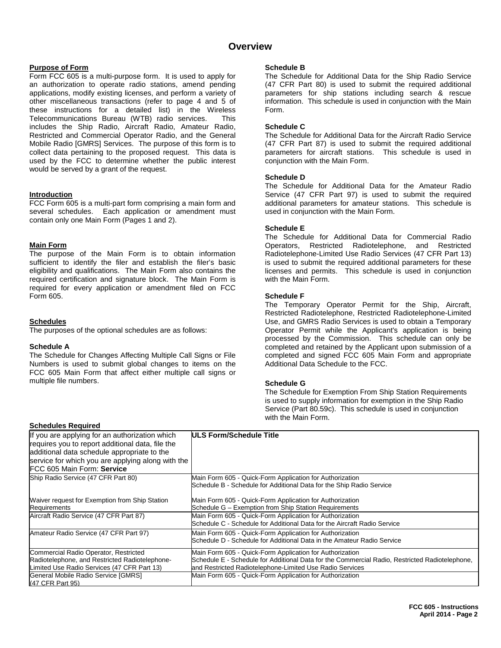### **Overview**

#### **Purpose of Form**

Form FCC 605 is a multi-purpose form. It is used to apply for an authorization to operate radio stations, amend pending applications, modify existing licenses, and perform a variety of other miscellaneous transactions (refer to page 4 and 5 of these instructions for a detailed list) in the Wireless Telecommunications Bureau (WTB) radio services. This includes the Ship Radio, Aircraft Radio, Amateur Radio, Restricted and Commercial Operator Radio, and the General Mobile Radio [GMRS] Services. The purpose of this form is to collect data pertaining to the proposed request. This data is used by the FCC to determine whether the public interest would be served by a grant of the request.

#### **Introduction**

FCC Form 605 is a multi-part form comprising a main form and several schedules. Each application or amendment must contain only one Main Form (Pages 1 and 2).

#### **Main Form**

The purpose of the Main Form is to obtain information sufficient to identify the filer and establish the filer's basic eligibility and qualifications. The Main Form also contains the required certification and signature block. The Main Form is required for every application or amendment filed on FCC Form 605.

#### **Schedules**

The purposes of the optional schedules are as follows:

#### **Schedule A**

The Schedule for Changes Affecting Multiple Call Signs or File Numbers is used to submit global changes to items on the FCC 605 Main Form that affect either multiple call signs or multiple file numbers.

#### **Schedule B**

The Schedule for Additional Data for the Ship Radio Service (47 CFR Part 80) is used to submit the required additional parameters for ship stations including search & rescue information. This schedule is used in conjunction with the Main Form.

#### **Schedule C**

The Schedule for Additional Data for the Aircraft Radio Service (47 CFR Part 87) is used to submit the required additional parameters for aircraft stations. This schedule is used in conjunction with the Main Form.

#### **Schedule D**

The Schedule for Additional Data for the Amateur Radio Service (47 CFR Part 97) is used to submit the required additional parameters for amateur stations. This schedule is used in conjunction with the Main Form.

#### **Schedule E**

The Schedule for Additional Data for Commercial Radio Operators, Restricted Radiotelephone, and Restricted Radiotelephone-Limited Use Radio Services (47 CFR Part 13) is used to submit the required additional parameters for these licenses and permits. This schedule is used in conjunction with the Main Form.

#### **Schedule F**

The Temporary Operator Permit for the Ship, Aircraft, Restricted Radiotelephone, Restricted Radiotelephone-Limited Use, and GMRS Radio Services is used to obtain a Temporary Operator Permit while the Applicant's application is being processed by the Commission. This schedule can only be completed and retained by the Applicant upon submission of a completed and signed FCC 605 Main Form and appropriate Additional Data Schedule to the FCC.

#### **Schedule G**

The Schedule for Exemption From Ship Station Requirements is used to supply information for exemption in the Ship Radio Service (Part 80.59c). This schedule is used in conjunction with the Main Form.

#### **Schedules Required**

| <b>ULS Form/Schedule Title</b>                                                                 |
|------------------------------------------------------------------------------------------------|
|                                                                                                |
|                                                                                                |
| service for which you are applying along with the                                              |
|                                                                                                |
| Main Form 605 - Quick-Form Application for Authorization                                       |
| Schedule B - Schedule for Additional Data for the Ship Radio Service                           |
| Main Form 605 - Quick-Form Application for Authorization                                       |
| Schedule G – Exemption from Ship Station Requirements                                          |
| Main Form 605 - Quick-Form Application for Authorization                                       |
| Schedule C - Schedule for Additional Data for the Aircraft Radio Service                       |
| Main Form 605 - Quick-Form Application for Authorization                                       |
| Schedule D - Schedule for Additional Data in the Amateur Radio Service                         |
| Main Form 605 - Quick-Form Application for Authorization                                       |
| Schedule E - Schedule for Additional Data for the Commercial Radio, Restricted Radiotelephone, |
| and Restricted Radiotelephone-Limited Use Radio Services                                       |
| Main Form 605 - Quick-Form Application for Authorization                                       |
|                                                                                                |
|                                                                                                |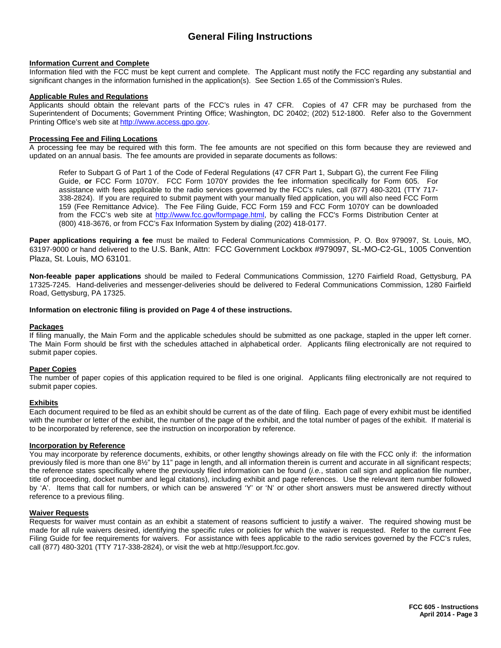## **General Filing Instructions**

#### **Information Current and Complete**

Information filed with the FCC must be kept current and complete. The Applicant must notify the FCC regarding any substantial and significant changes in the information furnished in the application(s). See Section 1.65 of the Commission's Rules.

#### **Applicable Rules and Regulations**

Applicants should obtain the relevant parts of the FCC's rules in 47 CFR. Copies of 47 CFR may be purchased from the Superintendent of Documents; Government Printing Office; Washington, DC 20402; (202) 512-1800. Refer also to the Government Printing Office's web site at http://www.access.gpo.gov.

#### **Processing Fee and Filing Locations**

A processing fee may be required with this form. The fee amounts are not specified on this form because they are reviewed and updated on an annual basis. The fee amounts are provided in separate documents as follows:

Refer to Subpart G of Part 1 of the Code of Federal Regulations (47 CFR Part 1, Subpart G), the current Fee Filing Guide, **or** FCC Form 1070Y. FCC Form 1070Y provides the fee information specifically for Form 605. For assistance with fees applicable to the radio services governed by the FCC's rules, call (877) 480-3201 (TTY 717- 338-2824). If you are required to submit payment with your manually filed application, you will also need FCC Form 159 (Fee Remittance Advice). The Fee Filing Guide, FCC Form 159 and FCC Form 1070Y can be downloaded from the FCC's web site at [http://www.fcc.gov/formpage.html,](http://www.fcc.gov/formpage.html) by calling the FCC's Forms Distribution Center at (800) 418-3676, or from FCC's Fax Information System by dialing (202) 418-0177.

**Paper applications requiring a fee** must be mailed to Federal Communications Commission, P. O. Box 979097, St. Louis, MO, 63197-9000 or hand delivered to the U.S. Bank, Attn: FCC Government Lockbox #979097, SL-MO-C2-GL, 1005 Convention Plaza, St. Louis, MO 63101.

**Non-feeable paper applications** should be mailed to Federal Communications Commission, 1270 Fairfield Road, Gettysburg, PA 17325-7245. Hand-deliveries and messenger-deliveries should be delivered to Federal Communications Commission, 1280 Fairfield Road, Gettysburg, PA 17325.

#### **Information on electronic filing is provided on Page 4 of these instructions.**

#### **Packages**

If filing manually, the Main Form and the applicable schedules should be submitted as one package, stapled in the upper left corner. The Main Form should be first with the schedules attached in alphabetical order. Applicants filing electronically are not required to submit paper copies.

#### **Paper Copies**

The number of paper copies of this application required to be filed is one original. Applicants filing electronically are not required to submit paper copies.

#### **Exhibits**

Each document required to be filed as an exhibit should be current as of the date of filing. Each page of every exhibit must be identified with the number or letter of the exhibit, the number of the page of the exhibit, and the total number of pages of the exhibit. If material is to be incorporated by reference, see the instruction on incorporation by reference.

#### **Incorporation by Reference**

You may incorporate by reference documents, exhibits, or other lengthy showings already on file with the FCC only if: the information previously filed is more than one 8½" by 11" page in length, and all information therein is current and accurate in all significant respects; the reference states specifically where the previously filed information can be found (*i.e.*, station call sign and application file number, title of proceeding, docket number and legal citations), including exhibit and page references. Use the relevant item number followed by 'A'. Items that call for numbers, or which can be answered 'Y' or 'N' or other short answers must be answered directly without reference to a previous filing.

#### **Waiver Requests**

Requests for waiver must contain as an exhibit a statement of reasons sufficient to justify a waiver. The required showing must be made for all rule waivers desired, identifying the specific rules or policies for which the waiver is requested. Refer to the current Fee Filing Guide for fee requirements for waivers. For assistance with fees applicable to the radio services governed by the FCC's rules, call (877) 480-3201 (TTY 717-338-2824), or visit the web at http://esupport.fcc.gov.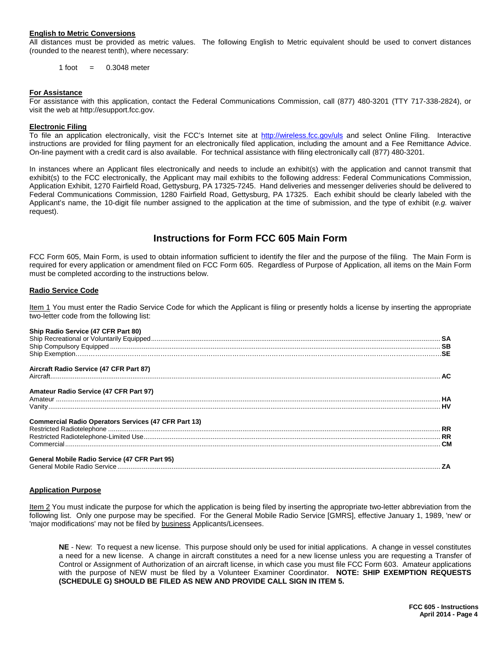#### **English to Metric Conversions**

All distances must be provided as metric values. The following English to Metric equivalent should be used to convert distances (rounded to the nearest tenth), where necessary:

 $1$  foot  $=$  0.3048 meter

#### **For Assistance**

For assistance with this application, contact the Federal Communications Commission, call (877) 480-3201 (TTY 717-338-2824), or visit the web at http://esupport.fcc.gov.

#### **Electronic Filing**

To file an application electronically, visit the FCC's Internet site at http://wireless.fcc.gov/uls and select Online Filing. Interactive instructions are provided for filing payment for an electronically filed application, including the amount and a Fee Remittance Advice. On-line payment with a credit card is also available. For technical assistance with filing electronically call (877) 480-3201.

In instances where an Applicant files electronically and needs to include an exhibit(s) with the application and cannot transmit that exhibit(s) to the FCC electronically, the Applicant may mail exhibits to the following address: Federal Communications Commission, Application Exhibit, 1270 Fairfield Road, Gettysburg, PA 17325-7245. Hand deliveries and messenger deliveries should be delivered to Federal Communications Commission, 1280 Fairfield Road, Gettysburg, PA 17325. Each exhibit should be clearly labeled with the Applicant's name, the 10-digit file number assigned to the application at the time of submission, and the type of exhibit (*e.g.* waiver request).

### **Instructions for Form FCC 605 Main Form**

FCC Form 605, Main Form, is used to obtain information sufficient to identify the filer and the purpose of the filing. The Main Form is required for every application or amendment filed on FCC Form 605. Regardless of Purpose of Application, all items on the Main Form must be completed according to the instructions below.

#### **Radio Service Code**

Item 1 You must enter the Radio Service Code for which the Applicant is filing or presently holds a license by inserting the appropriate two-letter code from the following list:

#### **Ship Radio Service (47 CFR Part 80)**

| Aircraft Radio Service (47 CFR Part 87)                     |  |
|-------------------------------------------------------------|--|
|                                                             |  |
| Amateur Radio Service (47 CFR Part 97)                      |  |
|                                                             |  |
|                                                             |  |
| <b>Commercial Radio Operators Services (47 CFR Part 13)</b> |  |
|                                                             |  |
|                                                             |  |
|                                                             |  |
| <b>General Mobile Radio Service (47 CFR Part 95)</b>        |  |
|                                                             |  |
|                                                             |  |

#### **Application Purpose**

Item 2 You must indicate the purpose for which the application is being filed by inserting the appropriate two-letter abbreviation from the following list. Only one purpose may be specified. For the General Mobile Radio Service [GMRS], effective January 1, 1989, 'new' or 'major modifications' may not be filed by business Applicants/Licensees.

**NE** - New: To request a new license. This purpose should only be used for initial applications. A change in vessel constitutes a need for a new license. A change in aircraft constitutes a need for a new license unless you are requesting a Transfer of Control or Assignment of Authorization of an aircraft license, in which case you must file FCC Form 603. Amateur applications with the purpose of NEW must be filed by a Volunteer Examiner Coordinator. **NOTE: SHIP EXEMPTION REQUESTS (SCHEDULE G) SHOULD BE FILED AS NEW AND PROVIDE CALL SIGN IN ITEM 5.**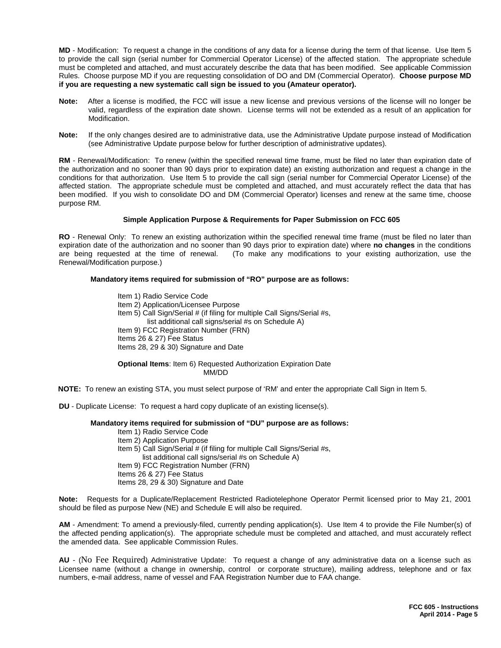**MD** - Modification: To request a change in the conditions of any data for a license during the term of that license. Use Item 5 to provide the call sign (serial number for Commercial Operator License) of the affected station. The appropriate schedule must be completed and attached, and must accurately describe the data that has been modified. See applicable Commission Rules. Choose purpose MD if you are requesting consolidation of DO and DM (Commercial Operator). **Choose purpose MD if you are requesting a new systematic call sign be issued to you (Amateur operator).**

- **Note:** After a license is modified, the FCC will issue a new license and previous versions of the license will no longer be valid, regardless of the expiration date shown. License terms will not be extended as a result of an application for Modification.
- **Note:** If the only changes desired are to administrative data, use the Administrative Update purpose instead of Modification (see Administrative Update purpose below for further description of administrative updates).

**RM** - Renewal/Modification: To renew (within the specified renewal time frame, must be filed no later than expiration date of the authorization and no sooner than 90 days prior to expiration date) an existing authorization and request a change in the conditions for that authorization. Use Item 5 to provide the call sign (serial number for Commercial Operator License) of the affected station. The appropriate schedule must be completed and attached, and must accurately reflect the data that has been modified. If you wish to consolidate DO and DM (Commercial Operator) licenses and renew at the same time, choose purpose RM.

#### **Simple Application Purpose & Requirements for Paper Submission on FCC 605**

**RO** - Renewal Only: To renew an existing authorization within the specified renewal time frame (must be filed no later than expiration date of the authorization and no sooner than 90 days prior to expiration date) where **no changes** in the conditions (To make any modifications to your existing authorization, use the Renewal/Modification purpose.)

#### **Mandatory items required for submission of "RO" purpose are as follows:**

Item 1) Radio Service Code Item 2) Application/Licensee Purpose Item 5) Call Sign/Serial # (if filing for multiple Call Signs/Serial #s, list additional call signs/serial #s on Schedule A) Item 9) FCC Registration Number (FRN) Items 26 & 27) Fee Status Items 28, 29 & 30) Signature and Date **Optional Items**: Item 6) Requested Authorization Expiration Date

MM/DD

**NOTE:** To renew an existing STA, you must select purpose of 'RM' and enter the appropriate Call Sign in Item 5.

**DU** - Duplicate License: To request a hard copy duplicate of an existing license(s).

#### **Mandatory items required for submission of "DU" purpose are as follows:**

Item 1) Radio Service Code Item 2) Application Purpose Item 5) Call Sign/Serial # (if filing for multiple Call Signs/Serial #s, list additional call signs/serial #s on Schedule A) Item 9) FCC Registration Number (FRN) Items 26 & 27) Fee Status Items 28, 29 & 30) Signature and Date

**Note:** Requests for a Duplicate/Replacement Restricted Radiotelephone Operator Permit licensed prior to May 21, 2001 should be filed as purpose New (NE) and Schedule E will also be required.

**AM** - Amendment: To amend a previously-filed, currently pending application(s). Use Item 4 to provide the File Number(s) of the affected pending application(s). The appropriate schedule must be completed and attached, and must accurately reflect the amended data. See applicable Commission Rules.

**AU** - (No Fee Required) Administrative Update: To request a change of any administrative data on a license such as Licensee name (without a change in ownership, control or corporate structure), mailing address, telephone and or fax numbers, e-mail address, name of vessel and FAA Registration Number due to FAA change.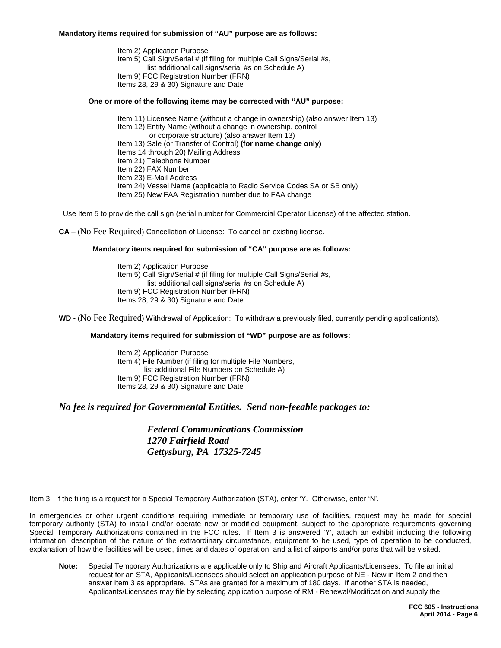#### **Mandatory items required for submission of "AU" purpose are as follows:**

Item 2) Application Purpose Item 5) Call Sign/Serial # (if filing for multiple Call Signs/Serial #s, list additional call signs/serial #s on Schedule A) Item 9) FCC Registration Number (FRN) Items 28, 29 & 30) Signature and Date

#### **One or more of the following items may be corrected with "AU" purpose:**

- Item 11) Licensee Name (without a change in ownership) (also answer Item 13)
- Item 12) Entity Name (without a change in ownership, control
	- or corporate structure) (also answer Item 13)
- Item 13) Sale (or Transfer of Control) **(for name change only)**
- Items 14 through 20) Mailing Address
- Item 21) Telephone Number
- Item 22) FAX Number
- Item 23) E-Mail Address
- Item 24) Vessel Name (applicable to Radio Service Codes SA or SB only)
- Item 25) New FAA Registration number due to FAA change

Use Item 5 to provide the call sign (serial number for Commercial Operator License) of the affected station.

**CA** – (No Fee Required) Cancellation of License: To cancel an existing license.

#### **Mandatory items required for submission of "CA" purpose are as follows:**

Item 2) Application Purpose Item 5) Call Sign/Serial # (if filing for multiple Call Signs/Serial #s, list additional call signs/serial #s on Schedule A) Item 9) FCC Registration Number (FRN) Items 28, 29 & 30) Signature and Date

**WD** - (No Fee Required) Withdrawal of Application: To withdraw a previously filed, currently pending application(s).

#### **Mandatory items required for submission of "WD" purpose are as follows:**

Item 2) Application Purpose Item 4) File Number (if filing for multiple File Numbers, list additional File Numbers on Schedule A) Item 9) FCC Registration Number (FRN) Items 28, 29 & 30) Signature and Date

### *No fee is required for Governmental Entities. Send non-feeable packages to:*

*Federal Communications Commission 1270 Fairfield Road Gettysburg, PA 17325-7245*

Item 3 If the filing is a request for a Special Temporary Authorization (STA), enter 'Y. Otherwise, enter 'N'.

In emergencies or other urgent conditions requiring immediate or temporary use of facilities, request may be made for special temporary authority (STA) to install and/or operate new or modified equipment, subject to the appropriate requirements governing Special Temporary Authorizations contained in the FCC rules. If Item 3 is answered 'Y', attach an exhibit including the following information: description of the nature of the extraordinary circumstance, equipment to be used, type of operation to be conducted, explanation of how the facilities will be used, times and dates of operation, and a list of airports and/or ports that will be visited.

**Note:** Special Temporary Authorizations are applicable only to Ship and Aircraft Applicants/Licensees. To file an initial request for an STA, Applicants/Licensees should select an application purpose of NE - New in Item 2 and then answer Item 3 as appropriate. STAs are granted for a maximum of 180 days. If another STA is needed, Applicants/Licensees may file by selecting application purpose of RM - Renewal/Modification and supply the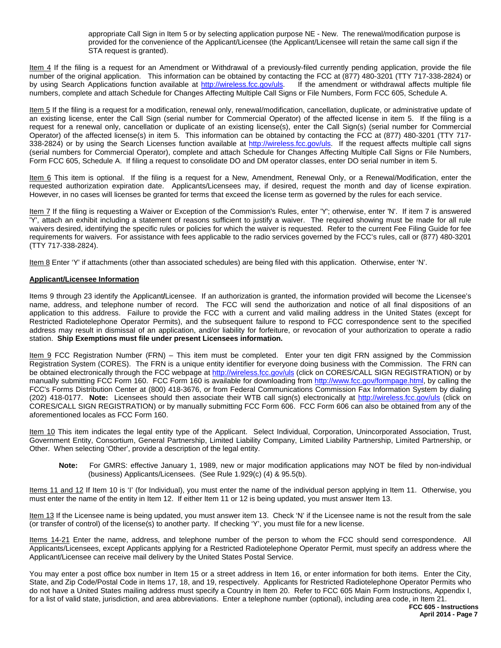appropriate Call Sign in Item 5 or by selecting application purpose NE - New. The renewal/modification purpose is provided for the convenience of the Applicant/Licensee (the Applicant/Licensee will retain the same call sign if the STA request is granted).

Item 4 If the filing is a request for an Amendment or Withdrawal of a previously-filed currently pending application, provide the file number of the original application. This information can be obtained by contacting the FCC at (877) 480-3201 (TTY 717-338-2824) or<br>by using Search Applications function available at http://wireless.fcc.gov/uls. If the amen by using Search Applications function available at http://wireless.fcc.gov/uls. numbers, complete and attach Schedule for Changes Affecting Multiple Call Signs or File Numbers, Form FCC 605, Schedule A.

Item 5 If the filing is a request for a modification, renewal only, renewal/modification, cancellation, duplicate, or administrative update of an existing license, enter the Call Sign (serial number for Commercial Operator) of the affected license in item 5. If the filing is a request for a renewal only, cancellation or duplicate of an existing license(s), enter the Call Sign(s) (serial number for Commercial Operator) of the affected license(s) in item 5. This information can be obtained by contacting the FCC at (877) 480-3201 (TTY 717- 338-2824) or by using the Search Licenses function available at http://wireless.fcc.gov/uls. If the request affects multiple call signs (serial numbers for Commercial Operator), complete and attach Schedule for Changes Affecting Multiple Call Signs or File Numbers, Form FCC 605, Schedule A. If filing a request to consolidate DO and DM operator classes, enter DO serial number in item 5.

Item 6 This item is optional. If the filing is a request for a New, Amendment, Renewal Only, or a Renewal/Modification, enter the requested authorization expiration date. Applicants/Licensees may, if desired, request the month and day of license expiration. However, in no cases will licenses be granted for terms that exceed the license term as governed by the rules for each service.

Item 7 If the filing is requesting a Waiver or Exception of the Commission's Rules, enter 'Y'; otherwise, enter 'N'. If item 7 is answered 'Y', attach an exhibit including a statement of reasons sufficient to justify a waiver. The required showing must be made for all rule waivers desired, identifying the specific rules or policies for which the waiver is requested. Refer to the current Fee Filing Guide for fee requirements for waivers. For assistance with fees applicable to the radio services governed by the FCC's rules, call or (877) 480-3201 (TTY 717-338-2824).

Item 8 Enter 'Y' if attachments (other than associated schedules) are being filed with this application. Otherwise, enter 'N'.

#### **Applicant/Licensee Information**

Items 9 through 23 identify the Applicant**/**Licensee. If an authorization is granted, the information provided will become the Licensee's name, address, and telephone number of record. The FCC will send the authorization and notice of all final dispositions of an application to this address. Failure to provide the FCC with a current and valid mailing address in the United States (except for Restricted Radiotelephone Operator Permits), and the subsequent failure to respond to FCC correspondence sent to the specified address may result in dismissal of an application, and/or liability for forfeiture, or revocation of your authorization to operate a radio station. **Ship Exemptions must file under present Licensees information.**

Item 9 FCC Registration Number (FRN) – This item must be completed. Enter your ten digit FRN assigned by the Commission Registration System (CORES). The FRN is a unique entity identifier for everyone doing business with the Commission. The FRN can be obtained electronically through the FCC webpage at http://wireless.fcc.gov/uls (click on CORES/CALL SIGN REGISTRATION) or by manually submitting FCC Form 160. FCC Form 160 is available for downloading from http://www.fcc.gov/formpage.html, by calling the FCC's Forms Distribution Center at (800) 418-3676, or from Federal Communications Commission Fax Information System by dialing (202) 418-0177. **Note:** Licensees should then associate their WTB call sign(s) electronically at http://wireless.fcc.gov/uls (click on CORES/CALL SIGN REGISTRATION) or by manually submitting FCC Form 606. FCC Form 606 can also be obtained from any of the aforementioned locales as FCC Form 160.

Item 10 This item indicates the legal entity type of the Applicant. Select Individual, Corporation, Unincorporated Association, Trust, Government Entity, Consortium, General Partnership, Limited Liability Company, Limited Liability Partnership, Limited Partnership, or Other. When selecting 'Other', provide a description of the legal entity.

**Note:** For GMRS: effective January 1, 1989, new or major modification applications may NOT be filed by non-individual (business) Applicants/Licensees. (See Rule 1.929(c) (4) & 95.5(b).

Items 11 and 12 If Item 10 is 'I' (for Individual), you must enter the name of the individual person applying in Item 11. Otherwise, you must enter the name of the entity in Item 12. If either Item 11 or 12 is being updated, you must answer Item 13.

Item 13 If the Licensee name is being updated, you must answer item 13. Check 'N' if the Licensee name is not the result from the sale (or transfer of control) of the license(s) to another party. If checking 'Y', you must file for a new license.

Items 14-21 Enter the name, address, and telephone number of the person to whom the FCC should send correspondence. All Applicants/Licensees, except Applicants applying for a Restricted Radiotelephone Operator Permit, must specify an address where the Applicant/Licensee can receive mail delivery by the United States Postal Service.

You may enter a post office box number in Item 15 or a street address in Item 16, or enter information for both items. Enter the City, State, and Zip Code/Postal Code in Items 17, 18, and 19, respectively. Applicants for Restricted Radiotelephone Operator Permits who do not have a United States mailing address must specify a Country in Item 20. Refer to FCC 605 Main Form Instructions, Appendix I, for a list of valid state, jurisdiction, and area abbreviations. Enter a telephone number (optional), including area code, in Item 21.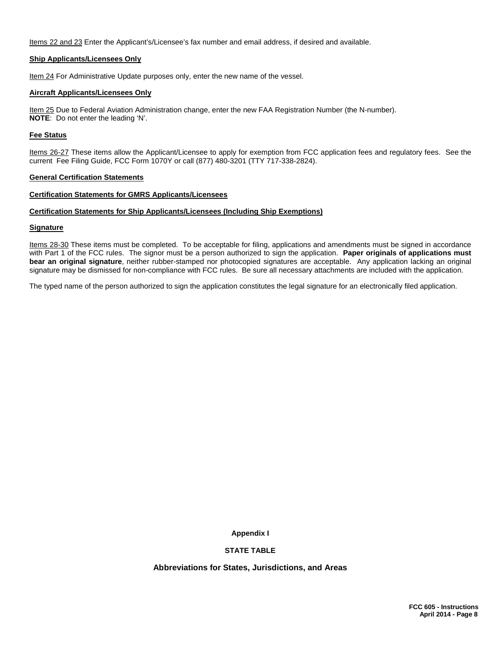Items 22 and 23 Enter the Applicant's/Licensee's fax number and email address, if desired and available.

#### **Ship Applicants/Licensees Only**

Item 24 For Administrative Update purposes only, enter the new name of the vessel.

#### **Aircraft Applicants/Licensees Only**

Item 25 Due to Federal Aviation Administration change, enter the new FAA Registration Number (the N-number). **NOTE**: Do not enter the leading 'N'.

#### **Fee Status**

Items 26-27 These items allow the Applicant/Licensee to apply for exemption from FCC application fees and regulatory fees. See the current Fee Filing Guide, FCC Form 1070Y or call (877) 480-3201 (TTY 717-338-2824).

#### **General Certification Statements**

#### **Certification Statements for GMRS Applicants/Licensees**

#### **Certification Statements for Ship Applicants/Licensees (Including Ship Exemptions)**

#### **Signature**

Items 28-30 These items must be completed. To be acceptable for filing, applications and amendments must be signed in accordance with Part 1 of the FCC rules. The signor must be a person authorized to sign the application. **Paper originals of applications must bear an original signature**, neither rubber-stamped nor photocopied signatures are acceptable. Any application lacking an original signature may be dismissed for non-compliance with FCC rules. Be sure all necessary attachments are included with the application.

The typed name of the person authorized to sign the application constitutes the legal signature for an electronically filed application.

**Appendix I**

#### **STATE TABLE**

**Abbreviations for States, Jurisdictions, and Areas**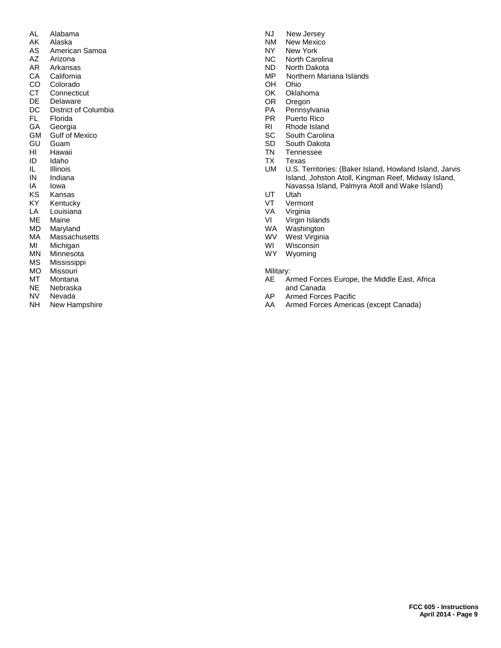- AL Alabama<br>AK Alaska
- AK Alaska<br>AS America
- AS American Samoa<br>AZ Arizona
- AZ Arizona<br>AR Arkansa
- AR Arkansas<br>CA California
- CA California<br>CO Colorado **Colorado**
- CT Connecticut
- 
- DE Delaware<br>DC District of
- DC District of Columbia<br>FL Florida
- FL Florida<br>GA Georgia
- GA Georgia<br>GM Gulf of M GM Gulf of Mexico<br>GU Guam
- 
- GU Guam<br>HI Hawaii
- HI Hawaii<br>ID Idaho ID Idaho
- IL Illinois<br>IN Indiana
- IN Indiana<br>IA Iowa
- IA Iowa<br>KS Kans
- KS Kansas<br>KY Kentuck
- KY Kentucky<br>LA Louisiana
- LA Louisiana<br>ME Maine
- ME Maine<br>MD Maryla
- MD Maryland<br>MA Massachu
- MA Massachusetts<br>MI Michigan
- MI Michigan<br>MN Minnesota
- MN Minnesota<br>MS Mississippi
- MS Mississippi<br>MO Missouri
- MO Missouri<br>MT Montana
- MT Montana<br>NE Nebraska
- NE Nebraska<br>NV Nevada
- NV Nevada<br>NH New Hal
- New Hampshire
- NJ New Jersey<br>NM New Mexico
- NM New Mexico<br>NY New York
- NY New York<br>NC North Card
- NC North Carolina<br>ND North Dakota
- ND North Dakota<br>MP Northern Mari MP Northern Mariana Islands<br>OH Ohio
- **Ohio**
- OK Oklahoma
- 
- OR Oregon<br>PA Pennsyl
- PA Pennsylvania<br>PR Puerto Rico
- PR Puerto Rico<br>RI Rhode Islano
- RI Rhode Island<br>SC South Carolin
- SC South Carolina<br>SD South Dakota
- SD South Dakota<br>TN Tennessee
- TN Tennessee<br>TX Texas
- TX Texas<br>UM U.S. T U.S. Territories: (Baker Island, Howland Island, Jarvis Island, Johston Atoll, Kingman Reef, Midway Island, Navassa Island, Palmyra Atoll and Wake Island)
- UT Utah<br>VT Verm
- VT Vermont<br>VA Virginia
- VA Virginia<br>VI Virgin Is
- VI Virgin Islands<br>WA Washington
- Washington
- WV West Virginia<br>WI Wisconsin
- WI Wisconsin<br>WY Wyoming
- Wyoming

Military:<br>AE A

- Armed Forces Europe, the Middle East, Africa and Canada<br>AP Armed Force
- AP Armed Forces Pacific<br>AA Armed Forces Americ
- Armed Forces Americas (except Canada)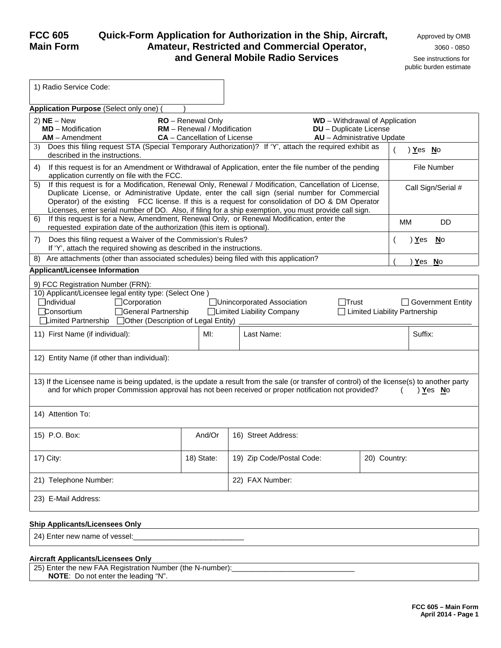### **FCC 605** Quick-Form Application for Authorization in the Ship, Aircraft, <sub>Approved by OMB</sub> **Main Form Amateur, Restricted and Commercial Operator,** 3060 - <sup>0850</sup> **and General Mobile Radio Services** See instructions for

| 1) Radio Service Code:                                                                                                                                                                                                                                                                                                                                                                                                       |                                                                                         |                                                          |                               |                                                             |                    |                     |
|------------------------------------------------------------------------------------------------------------------------------------------------------------------------------------------------------------------------------------------------------------------------------------------------------------------------------------------------------------------------------------------------------------------------------|-----------------------------------------------------------------------------------------|----------------------------------------------------------|-------------------------------|-------------------------------------------------------------|--------------------|---------------------|
| Application Purpose (Select only one)                                                                                                                                                                                                                                                                                                                                                                                        |                                                                                         |                                                          |                               |                                                             |                    |                     |
| $2)$ NE – New<br>$MD - Modification$<br>$AM -$ Amendment                                                                                                                                                                                                                                                                                                                                                                     | RO - Renewal Only<br>RM - Renewal / Modification<br><b>CA</b> - Cancellation of License |                                                          | <b>DU</b> - Duplicate License | $WD - Without$ of Application<br>AU - Administrative Update |                    |                     |
| 3) Does this filing request STA (Special Temporary Authorization)? If 'Y', attach the required exhibit as<br>described in the instructions.                                                                                                                                                                                                                                                                                  |                                                                                         |                                                          |                               |                                                             | <u>) Yes No</u>    |                     |
| If this request is for an Amendment or Withdrawal of Application, enter the file number of the pending<br>4)<br>application currently on file with the FCC.                                                                                                                                                                                                                                                                  |                                                                                         |                                                          |                               |                                                             | <b>File Number</b> |                     |
| If this request is for a Modification, Renewal Only, Renewal / Modification, Cancellation of License,<br>5)<br>Duplicate License, or Administrative Update, enter the call sign (serial number for Commercial<br>Operator) of the existing FCC license. If this is a request for consolidation of DO & DM Operator<br>Licenses, enter serial number of DO. Also, if filing for a ship exemption, you must provide call sign. |                                                                                         |                                                          |                               |                                                             |                    | Call Sign/Serial #  |
| If this request is for a New, Amendment, Renewal Only, or Renewal Modification, enter the<br>6)<br>requested expiration date of the authorization (this item is optional).                                                                                                                                                                                                                                                   |                                                                                         |                                                          |                               | <b>MM</b>                                                   |                    | <b>DD</b>           |
| Does this filing request a Waiver of the Commission's Rules?<br>7)<br>If 'Y', attach the required showing as described in the instructions.                                                                                                                                                                                                                                                                                  |                                                                                         |                                                          |                               |                                                             | ) Yes              | <b>N</b> o          |
| Are attachments (other than associated schedules) being filed with this application?<br>8)                                                                                                                                                                                                                                                                                                                                   |                                                                                         |                                                          |                               |                                                             | Yes No             |                     |
| <b>Applicant/Licensee Information</b>                                                                                                                                                                                                                                                                                                                                                                                        |                                                                                         |                                                          |                               |                                                             |                    |                     |
| 9) FCC Registration Number (FRN):<br>10) Applicant/Licensee legal entity type: (Select One)<br>□Corporation<br>$\Box$ ndividual<br><b>Consortium</b><br>General Partnership<br>$\Box$ imited Partnership $\Box$ Other (Description of Legal Entity)                                                                                                                                                                          |                                                                                         | Unincorporated Association<br>□Limited Liability Company | <b>T</b> rust                 | □ Limited Liability Partnership                             |                    | □ Government Entity |
| 11) First Name (if individual):                                                                                                                                                                                                                                                                                                                                                                                              | MI:                                                                                     | Last Name:                                               |                               |                                                             | Suffix:            |                     |
| 12) Entity Name (if other than individual):                                                                                                                                                                                                                                                                                                                                                                                  |                                                                                         |                                                          |                               |                                                             |                    |                     |
| 13) If the Licensee name is being updated, is the update a result from the sale (or transfer of control) of the license(s) to another party<br>and for which proper Commission approval has not been received or proper notification not provided?                                                                                                                                                                           |                                                                                         |                                                          |                               |                                                             | ) Yes No           |                     |
| 14) Attention To:                                                                                                                                                                                                                                                                                                                                                                                                            |                                                                                         |                                                          |                               |                                                             |                    |                     |
| 15) P.O. Box:                                                                                                                                                                                                                                                                                                                                                                                                                | And/Or                                                                                  | 16) Street Address:                                      |                               |                                                             |                    |                     |
| 17) City:                                                                                                                                                                                                                                                                                                                                                                                                                    | 18) State:                                                                              | 19) Zip Code/Postal Code:<br>20) Country:                |                               |                                                             |                    |                     |
| 22) FAX Number:<br>21) Telephone Number:                                                                                                                                                                                                                                                                                                                                                                                     |                                                                                         |                                                          |                               |                                                             |                    |                     |
| 23) E-Mail Address:                                                                                                                                                                                                                                                                                                                                                                                                          |                                                                                         |                                                          |                               |                                                             |                    |                     |
| <b>Ship Applicants/Licensees Only</b>                                                                                                                                                                                                                                                                                                                                                                                        |                                                                                         |                                                          |                               |                                                             |                    |                     |
| 24) Enter new name of vessel:                                                                                                                                                                                                                                                                                                                                                                                                |                                                                                         |                                                          |                               |                                                             |                    |                     |

#### **Aircraft Applicants/Licensees Only**

25) Enter the new FAA Registration Number (the N-number): **NOTE**: Do not enter the leading "N".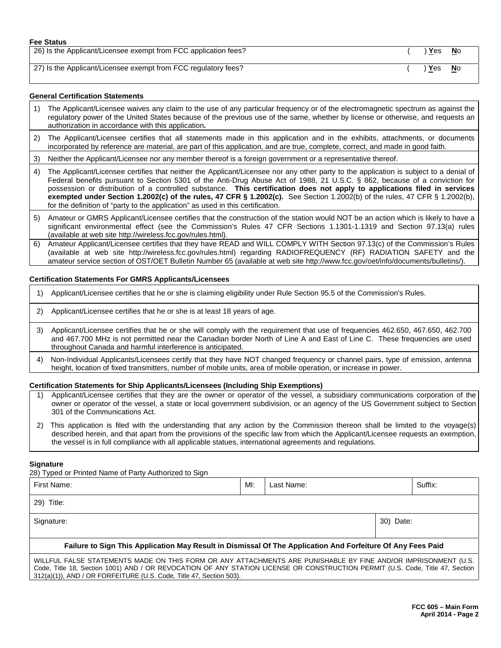#### **Fee Status**

| 26) Is the Applicant/Licensee exempt from FCC application fees? | ) Yes         | <b>No</b> |
|-----------------------------------------------------------------|---------------|-----------|
| 27) Is the Applicant/Licensee exempt from FCC regulatory fees?  | <u>Yes No</u> |           |

#### **General Certification Statements**

- 1) The Applicant/Licensee waives any claim to the use of any particular frequency or of the electromagnetic spectrum as against the regulatory power of the United States because of the previous use of the same, whether by license or otherwise, and requests an authorization in accordance with this application**.**
- 2) The Applicant/Licensee certifies that all statements made in this application and in the exhibits, attachments, or documents incorporated by reference are material, are part of this application, and are true, complete, correct, and made in good faith.
- 3) Neither the Applicant/Licensee nor any member thereof is a foreign government or a representative thereof.
- 4) The Applicant/Licensee certifies that neither the Applicant/Licensee nor any other party to the application is subject to a denial of Federal benefits pursuant to Section 5301 of the Anti-Drug Abuse Act of 1988, 21 U.S.C. § 862, because of a conviction for possession or distribution of a controlled substance. **This certification does not apply to applications filed in services exempted under Section 1.2002(c) of the rules, 47 CFR § 1.2002(c).** See Section 1.2002(b) of the rules, 47 CFR § 1.2002(b), for the definition of "party to the application" as used in this certification.
- 5) Amateur or GMRS Applicant/Licensee certifies that the construction of the station would NOT be an action which is likely to have a significant environmental effect (see the Commission's Rules 47 CFR Sections 1.1301-1.1319 and Section 97.13(a) rules (available at web site http://wireless.fcc.gov/rules.html).
- 6) Amateur Applicant/Licensee certifies that they have READ and WILL COMPLY WITH Section 97.13(c) of the Commission's Rules (available at web site http://wireless.fcc.gov/rules.html) regarding RADIOFREQUENCY (RF) RADIATION SAFETY and the amateur service section of OST/OET Bulletin Number 65 (available at web site http://www.fcc.gov/oet/info/documents/bulletins/).

#### **Certification Statements For GMRS Applicants/Licensees**

- 1) Applicant/Licensee certifies that he or she is claiming eligibility under Rule Section 95.5 of the Commission's Rules.
- 2) Applicant/Licensee certifies that he or she is at least 18 years of age.
- 3) Applicant/Licensee certifies that he or she will comply with the requirement that use of frequencies 462.650, 467.650, 462.700 and 467.700 MHz is not permitted near the Canadian border North of Line A and East of Line C. These frequencies are used throughout Canada and harmful interference is anticipated.
- 4) Non-Individual Applicants/Licensees certify that they have NOT changed frequency or channel pairs, type of emission, antenna height, location of fixed transmitters, number of mobile units, area of mobile operation, or increase in power.

#### **Certification Statements for Ship Applicants/Licensees (Including Ship Exemptions)**

- 1) Applicant/Licensee certifies that they are the owner or operator of the vessel, a subsidiary communications corporation of the owner or operator of the vessel, a state or local government subdivision, or an agency of the US Government subject to Section 301 of the Communications Act.
- 2) This application is filed with the understanding that any action by the Commission thereon shall be limited to the voyage(s) described herein, and that apart from the provisions of the specific law from which the Applicant/Licensee requests an exemption, the vessel is in full compliance with all applicable statues, international agreements and regulations.

#### **Signature**

28) Typed or Printed Name of Party Authorized to Sign

312(a)(1)), AND / OR FORFEITURE (U.S. Code, Title 47, Section 503).

First Name: MI: Last Name: Suffix: 29) Title: Signature: 30) Date: **Failure to Sign This Application May Result in Dismissal Of The Application And Forfeiture Of Any Fees Paid** WILLFUL FALSE STATEMENTS MADE ON THIS FORM OR ANY ATTACHMENTS ARE PUNISHABLE BY FINE AND/OR IMPRISONMENT (U.S. Code, Title 18, Section 1001) AND / OR REVOCATION OF ANY STATION LICENSE OR CONSTRUCTION PERMIT (U.S. Code, Title 47, Section

> **FCC 605 – Main Form April 2014 - Page 2**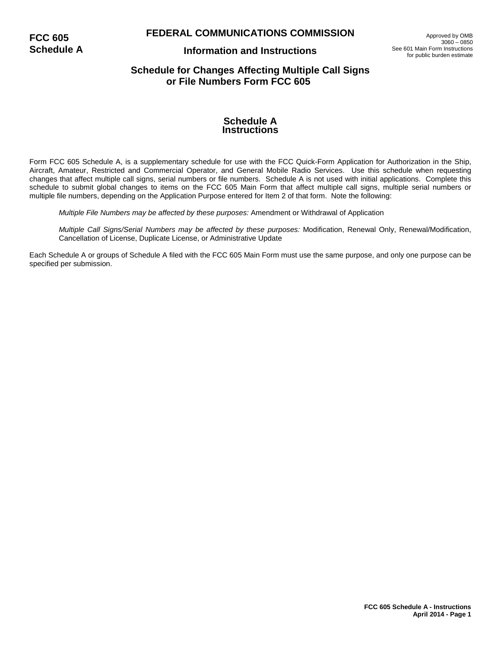### **FEDERAL COMMUNICATIONS COMMISSION**

**FCC 605 Schedule A**

### **Information and Instructions**

Approved by OMB 3060 – 0850 See 601 Main Form Instructions for public burden estimate

### **Schedule for Changes Affecting Multiple Call Signs or File Numbers Form FCC 605**

#### **Schedule A Instructions**

Form FCC 605 Schedule A, is a supplementary schedule for use with the FCC Quick-Form Application for Authorization in the Ship, Aircraft, Amateur, Restricted and Commercial Operator, and General Mobile Radio Services. Use this schedule when requesting changes that affect multiple call signs, serial numbers or file numbers. Schedule A is not used with initial applications. Complete this schedule to submit global changes to items on the FCC 605 Main Form that affect multiple call signs, multiple serial numbers or multiple file numbers, depending on the Application Purpose entered for Item 2 of that form. Note the following:

*Multiple File Numbers may be affected by these purposes:* Amendment or Withdrawal of Application

*Multiple Call Signs/Serial Numbers may be affected by these purposes:* Modification, Renewal Only, Renewal/Modification, Cancellation of License, Duplicate License, or Administrative Update

Each Schedule A or groups of Schedule A filed with the FCC 605 Main Form must use the same purpose, and only one purpose can be specified per submission.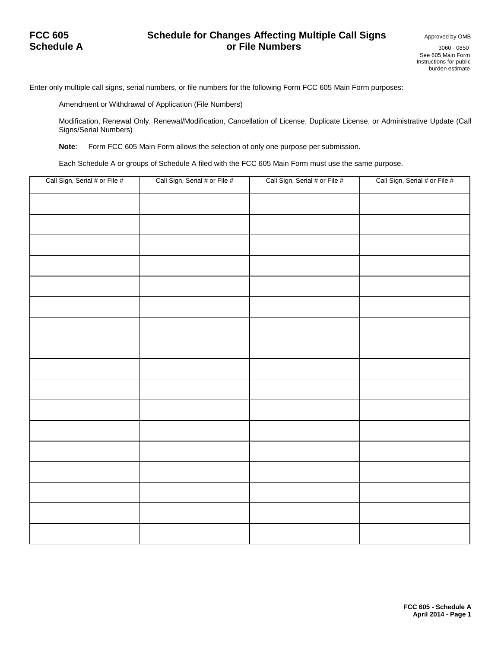### **FCC 605 Schedule for Changes Affecting Multiple Call Signs Approved by OMB**<br>**Or File Numbers Changes Approved by OMB SCHEDULE A CONTRACTE A ORIGINAL SUBSEX 3060 - 0850**

Enter only multiple call signs, serial numbers, or file numbers for the following Form FCC 605 Main Form purposes:

Amendment or Withdrawal of Application (File Numbers)

Modification, Renewal Only, Renewal/Modification, Cancellation of License, Duplicate License, or Administrative Update (Call Signs/Serial Numbers)

**Note**: Form FCC 605 Main Form allows the selection of only one purpose per submission.

Each Schedule A or groups of Schedule A filed with the FCC 605 Main Form must use the same purpose.

| Call Sign, Serial # or File # | Call Sign, Serial # or File # | Call Sign, Serial # or File # | Call Sign, Serial # or File # |
|-------------------------------|-------------------------------|-------------------------------|-------------------------------|
|                               |                               |                               |                               |
|                               |                               |                               |                               |
|                               |                               |                               |                               |
|                               |                               |                               |                               |
|                               |                               |                               |                               |
|                               |                               |                               |                               |
|                               |                               |                               |                               |
|                               |                               |                               |                               |
|                               |                               |                               |                               |
|                               |                               |                               |                               |
|                               |                               |                               |                               |
|                               |                               |                               |                               |
|                               |                               |                               |                               |
|                               |                               |                               |                               |
|                               |                               |                               |                               |
|                               |                               |                               |                               |
|                               |                               |                               |                               |
|                               |                               |                               |                               |
|                               |                               |                               |                               |
|                               |                               |                               |                               |
|                               |                               |                               |                               |
|                               |                               |                               |                               |
|                               |                               |                               |                               |
|                               |                               |                               |                               |
|                               |                               |                               |                               |
|                               |                               |                               |                               |
|                               |                               |                               |                               |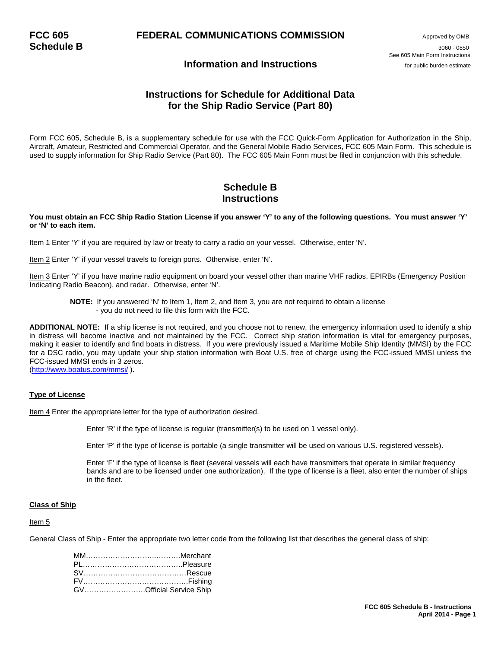# **FCC 605 FEDERAL COMMUNICATIONS COMMISSION** Approved by OMB

**Schedule B** 3060 - <sup>0850</sup> See 605 Main Form Instructions

### **Information and Instructions** *Information* **and Instructions**

### **Instructions for Schedule for Additional Data for the Ship Radio Service (Part 80)**

Form FCC 605, Schedule B, is a supplementary schedule for use with the FCC Quick-Form Application for Authorization in the Ship, Aircraft, Amateur, Restricted and Commercial Operator, and the General Mobile Radio Services, FCC 605 Main Form. This schedule is used to supply information for Ship Radio Service (Part 80). The FCC 605 Main Form must be filed in conjunction with this schedule.

### **Schedule B Instructions**

#### **You must obtain an FCC Ship Radio Station License if you answer 'Y' to any of the following questions. You must answer 'Y' or 'N' to each item.**

Item 1 Enter 'Y' if you are required by law or treaty to carry a radio on your vessel. Otherwise, enter 'N'.

Item 2 Enter 'Y' if your vessel travels to foreign ports. Otherwise, enter 'N'.

Item 3 Enter 'Y' if you have marine radio equipment on board your vessel other than marine VHF radios, EPIRBs (Emergency Position Indicating Radio Beacon), and radar. Otherwise, enter 'N'.

**NOTE:** If you answered 'N' to Item 1, Item 2, and Item 3, you are not required to obtain a license - you do not need to file this form with the FCC.

**ADDITIONAL NOTE:** If a ship license is not required, and you choose not to renew, the emergency information used to identify a ship in distress will become inactive and not maintained by the FCC. Correct ship station information is vital for emergency purposes, making it easier to identify and find boats in distress. If you were previously issued a Maritime Mobile Ship Identity (MMSI) by the FCC for a DSC radio, you may update your ship station information with Boat U.S. free of charge using the FCC-issued MMSI unless the FCC-issued MMSI ends in 3 zeros.

[\(http://www.boatus.com/mmsi/](http://www.boatus.com/mmsi/) ).

#### **Type of License**

Item 4 Enter the appropriate letter for the type of authorization desired.

Enter 'R' if the type of license is regular (transmitter(s) to be used on 1 vessel only).

Enter 'P' if the type of license is portable (a single transmitter will be used on various U.S. registered vessels).

 Enter 'F' if the type of license is fleet (several vessels will each have transmitters that operate in similar frequency bands and are to be licensed under one authorization). If the type of license is a fleet, also enter the number of ships in the fleet.

#### **Class of Ship**

#### Item 5

General Class of Ship - Enter the appropriate two letter code from the following list that describes the general class of ship:

| GVOfficial Service Ship |
|-------------------------|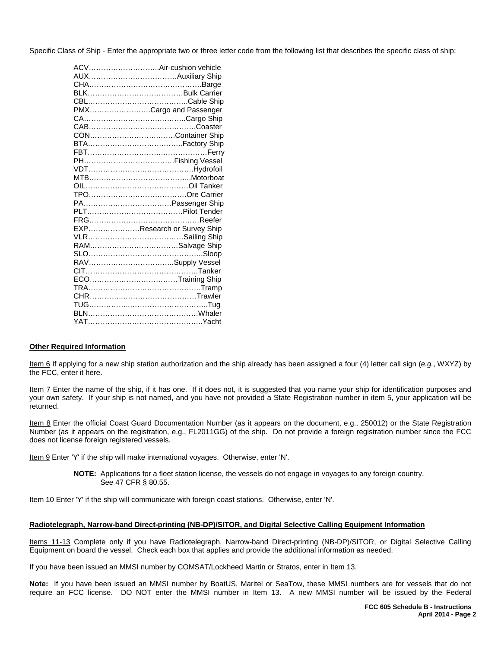Specific Class of Ship - Enter the appropriate two or three letter code from the following list that describes the specific class of ship:

| ACVAir-cushion vehicle     |
|----------------------------|
|                            |
|                            |
|                            |
|                            |
| PMXCargo and Passenger     |
|                            |
|                            |
| CONContainer Ship          |
|                            |
|                            |
|                            |
|                            |
|                            |
|                            |
|                            |
|                            |
|                            |
|                            |
| EXPResearch or Survey Ship |
|                            |
|                            |
|                            |
| RAVSupply Vessel           |
|                            |
| ECOTraining Ship           |
|                            |
|                            |
|                            |
|                            |
|                            |

#### **Other Required Information**

Item 6 If applying for a new ship station authorization and the ship already has been assigned a four (4) letter call sign (*e.g.*, WXYZ) by the FCC, enter it here.

Item 7 Enter the name of the ship, if it has one. If it does not, it is suggested that you name your ship for identification purposes and your own safety. If your ship is not named, and you have not provided a State Registration number in item 5, your application will be returned.

Item 8 Enter the official Coast Guard Documentation Number (as it appears on the document, e.g., 250012) or the State Registration Number (as it appears on the registration, e.g., FL2011GG) of the ship. Do not provide a foreign registration number since the FCC does not license foreign registered vessels.

Item 9 Enter 'Y' if the ship will make international voyages. Otherwise, enter 'N'.

**NOTE:** Applications for a fleet station license, the vessels do not engage in voyages to any foreign country. See 47 CFR § 80.55.

Item 10 Enter 'Y' if the ship will communicate with foreign coast stations. Otherwise, enter 'N'.

#### **Radiotelegraph, Narrow-band Direct-printing (NB-DP)/SITOR, and Digital Selective Calling Equipment Information**

Items 11-13 Complete only if you have Radiotelegraph, Narrow-band Direct-printing (NB-DP)/SITOR, or Digital Selective Calling Equipment on board the vessel. Check each box that applies and provide the additional information as needed.

If you have been issued an MMSI number by COMSAT/Lockheed Martin or Stratos, enter in Item 13.

**Note:** If you have been issued an MMSI number by BoatUS, Maritel or SeaTow, these MMSI numbers are for vessels that do not require an FCC license. DO NOT enter the MMSI number in Item 13. A new MMSI number will be issued by the Federal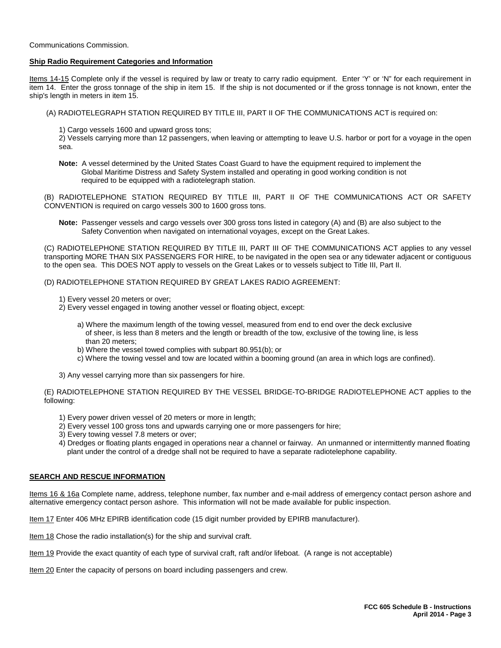Communications Commission.

#### **Ship Radio Requirement Categories and Information**

Items 14-15 Complete only if the vessel is required by law or treaty to carry radio equipment. Enter 'Y' or 'N" for each requirement in item 14. Enter the gross tonnage of the ship in item 15. If the ship is not documented or if the gross tonnage is not known, enter the ship's length in meters in item 15.

- (A) RADIOTELEGRAPH STATION REQUIRED BY TITLE III, PART II OF THE COMMUNICATIONS ACT is required on:
	- 1) Cargo vessels 1600 and upward gross tons;

2) Vessels carrying more than 12 passengers, when leaving or attempting to leave U.S. harbor or port for a voyage in the open sea.

**Note:** A vessel determined by the United States Coast Guard to have the equipment required to implement the Global Maritime Distress and Safety System installed and operating in good working condition is not required to be equipped with a radiotelegraph station.

(B) RADIOTELEPHONE STATION REQUIRED BY TITLE III, PART II OF THE COMMUNICATIONS ACT OR SAFETY CONVENTION is required on cargo vessels 300 to 1600 gross tons.

**Note:** Passenger vessels and cargo vessels over 300 gross tons listed in category (A) and (B) are also subject to the Safety Convention when navigated on international voyages, except on the Great Lakes.

(C) RADIOTELEPHONE STATION REQUIRED BY TITLE III, PART III OF THE COMMUNICATIONS ACT applies to any vessel transporting MORE THAN SIX PASSENGERS FOR HIRE, to be navigated in the open sea or any tidewater adjacent or contiguous to the open sea. This DOES NOT apply to vessels on the Great Lakes or to vessels subject to Title III, Part II.

(D) RADIOTELEPHONE STATION REQUIRED BY GREAT LAKES RADIO AGREEMENT:

- 1) Every vessel 20 meters or over;
- 2) Every vessel engaged in towing another vessel or floating object, except:
	- a) Where the maximum length of the towing vessel, measured from end to end over the deck exclusive of sheer, is less than 8 meters and the length or breadth of the tow, exclusive of the towing line, is less than 20 meters;
	- b) Where the vessel towed complies with subpart 80.951(b); or
	- c) Where the towing vessel and tow are located within a booming ground (an area in which logs are confined).
- 3) Any vessel carrying more than six passengers for hire.

(E) RADIOTELEPHONE STATION REQUIRED BY THE VESSEL BRIDGE-TO-BRIDGE RADIOTELEPHONE ACT applies to the following:

- 1) Every power driven vessel of 20 meters or more in length;
- 2) Every vessel 100 gross tons and upwards carrying one or more passengers for hire;
- 3) Every towing vessel 7.8 meters or over;
- 4) Dredges or floating plants engaged in operations near a channel or fairway. An unmanned or intermittently manned floating plant under the control of a dredge shall not be required to have a separate radiotelephone capability.

#### **SEARCH AND RESCUE INFORMATION**

Items 16 & 16a Complete name, address, telephone number, fax number and e-mail address of emergency contact person ashore and alternative emergency contact person ashore. This information will not be made available for public inspection.

Item 17 Enter 406 MHz EPIRB identification code (15 digit number provided by EPIRB manufacturer).

Item 18 Chose the radio installation(s) for the ship and survival craft.

Item 19 Provide the exact quantity of each type of survival craft, raft and/or lifeboat. (A range is not acceptable)

Item 20 Enter the capacity of persons on board including passengers and crew.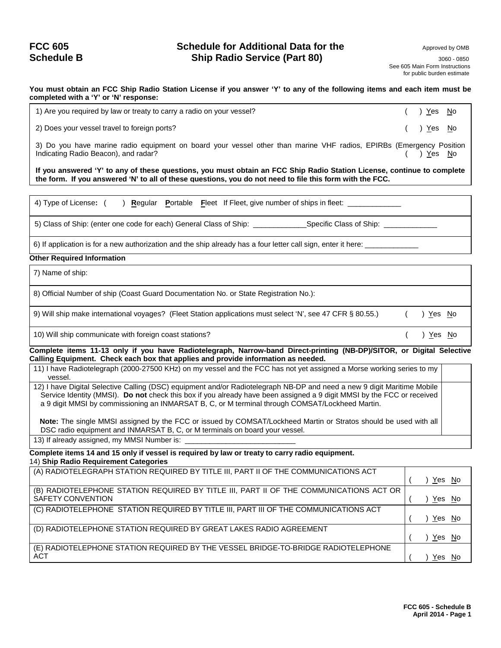### **FCC 605 Schedule for Additional Data for the** Approved by OMB **Schedule B** 3060 - **Ship Radio Service (Part 80)** 3060 - 0850 - 0850 - 0850

 See 605 Main Form Instructions for public burden estimate

**You must obtain an FCC Ship Radio Station License if you answer 'Y' to any of the following items and each item must be completed with a 'Y' or 'N' response:**

1) Are you required by law or treaty to carry a radio on your vessel?  $( )$   $Yes$   $N$ o

2) Does your vessel travel to foreign ports? ( ) Yes No

3) Do you have marine radio equipment on board your vessel other than marine VHF radios, EPIRBs (Emergency Position Indicating Radio Beacon), and radar? ( ) Yes No

**If you answered 'Y' to any of these questions, you must obtain an FCC Ship Radio Station License, continue to complete the form. If you answered 'N' to all of these questions, you do not need to file this form with the FCC.**

4) Type of License:  $($  ) **R**egular **Portable Fleet If Fleet**, give number of ships in fleet:

5) Class of Ship: (enter one code for each) General Class of Ship: \_\_\_\_\_\_\_\_\_\_\_\_\_Specific Class of Ship: \_\_\_\_\_\_\_\_\_\_\_\_\_

6) If application is for a new authorization and the ship already has a four letter call sign, enter it here:

#### **Other Required Information**

7) Name of ship:

8) Official Number of ship (Coast Guard Documentation No. or State Registration No.):

9) Will ship make international voyages? (Fleet Station applications must select 'N', see 47 CFR § 80.55.) ( ) Yes No

10) Will ship communicate with foreign coast stations? ( ) Yes No

**Complete items 11-13 only if you have Radiotelegraph, Narrow-band Direct-printing (NB-DP)/SITOR, or Digital Selective Calling Equipment. Check each box that applies and provide information as needed.**

11) I have Radiotelegraph (2000-27500 KHz) on my vessel and the FCC has not yet assigned a Morse working series to my vessel.

12) I have Digital Selective Calling (DSC) equipment and/or Radiotelegraph NB-DP and need a new 9 digit Maritime Mobile Service Identity (MMSI). **Do not** check this box if you already have been assigned a 9 digit MMSI by the FCC or received a 9 digit MMSI by commissioning an INMARSAT B, C, or M terminal through COMSAT/Lockheed Martin.

 **Note:** The single MMSI assigned by the FCC or issued by COMSAT/Lockheed Martin or Stratos should be used with all DSC radio equipment and INMARSAT B, C, or M terminals on board your vessel.

13) If already assigned, my MMSI Number is:

**Complete items 14 and 15 only if vessel is required by law or treaty to carry radio equipment.** 14) **Ship Radio Requirement Categories**

| (A) RADIOTELEGRAPH STATION REQUIRED BY TITLE III, PART II OF THE COMMUNICATIONS ACT    |     | Yes No |
|----------------------------------------------------------------------------------------|-----|--------|
| (B) RADIOTELEPHONE STATION REQUIRED BY TITLE III, PART II OF THE COMMUNICATIONS ACT OR |     |        |
| SAFETY CONVENTION                                                                      |     | Yes No |
| (C) RADIOTELEPHONE STATION REQUIRED BY TITLE III, PART III OF THE COMMUNICATIONS ACT   |     |        |
|                                                                                        |     | Yes No |
| (D) RADIOTELEPHONE STATION REQUIRED BY GREAT LAKES RADIO AGREEMENT                     |     |        |
|                                                                                        |     | Yes No |
| (E) RADIOTELEPHONE STATION REQUIRED BY THE VESSEL BRIDGE-TO-BRIDGE RADIOTELEPHONE      |     |        |
| <b>ACT</b>                                                                             | Yes | No     |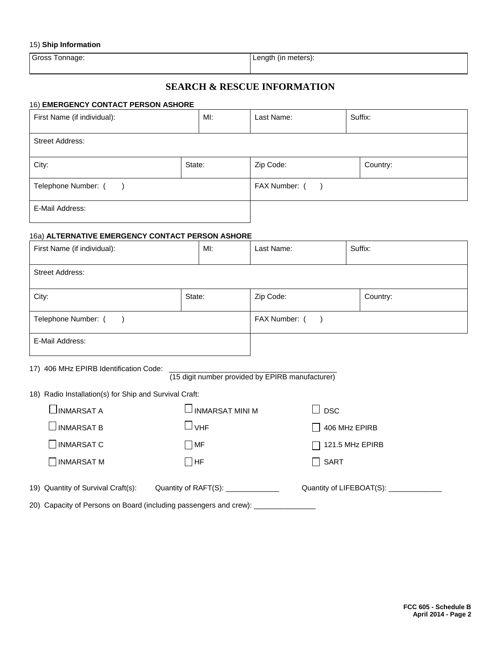#### 15) **Ship Information**

Gross Tonnage:  $\vert$  Length (in meters):

### **SEARCH & RESCUE INFORMATION**

#### 16) **EMERGENCY CONTACT PERSON ASHORE**

| First Name (if individual): | MI: |  |                |  | Suffix:  |
|-----------------------------|-----|--|----------------|--|----------|
| <b>Street Address:</b>      |     |  |                |  |          |
| City:<br>State:             |     |  | Zip Code:      |  | Country: |
| Telephone Number: (         |     |  | FAX Number: () |  |          |
| E-Mail Address:             |     |  |                |  |          |

### 16a) **ALTERNATIVE EMERGENCY CONTACT PERSON ASHORE**

| First Name (if individual): |        | MI: | Last Name:     | Suffix:  |
|-----------------------------|--------|-----|----------------|----------|
| <b>Street Address:</b>      |        |     |                |          |
| City:                       | State: |     | Zip Code:      | Country: |
| Telephone Number: ()        |        |     | FAX Number: () |          |
| E-Mail Address:             |        |     |                |          |

17) 406 MHz EPIRB Identification Code:

(15 digit number provided by EPIRB manufacturer)

| 18) Radio Installation(s) for Ship and Survival Craft:                           |                                     |                                        |  |  |  |  |  |  |  |
|----------------------------------------------------------------------------------|-------------------------------------|----------------------------------------|--|--|--|--|--|--|--|
| $\sqcup$ INMARSAT A                                                              | $\lrcorner$ INMARSAT MINI M         | $\Box$ DSC                             |  |  |  |  |  |  |  |
| $\lrcorner$ inmarsat b                                                           | $\lrcorner$ vhF                     | 406 MHz EPIRB                          |  |  |  |  |  |  |  |
| INMARSAT C                                                                       | $\neg$ MF                           | 121.5 MHz EPIRB<br>$\mathsf{L}$        |  |  |  |  |  |  |  |
| INMARSAT M                                                                       | $\sqcap$ HF                         | $\Box$ SART                            |  |  |  |  |  |  |  |
| 19) Quantity of Survival Craft(s):                                               | Quantity of RAFT(S): ______________ | Quantity of LIFEBOAT(S): _____________ |  |  |  |  |  |  |  |
| 20) Capacity of Persons on Board (including passengers and crew): ______________ |                                     |                                        |  |  |  |  |  |  |  |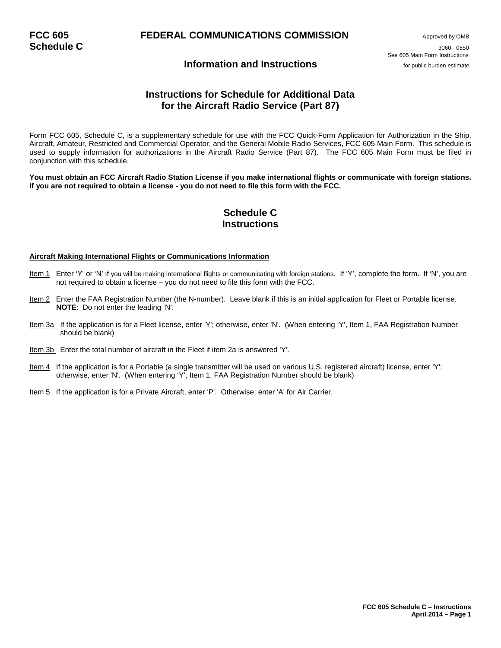# **FCC 605 FEDERAL COMMUNICATIONS COMMISSION** Approved by OMB **Schedule C Approved by OMB**

**Schedule C** 3060 - <sup>0850</sup> See 605 Main Form Instructions

### **Information and Instructions** *Information* **and Instructions**

### **Instructions for Schedule for Additional Data for the Aircraft Radio Service (Part 87)**

Form FCC 605, Schedule C, is a supplementary schedule for use with the FCC Quick-Form Application for Authorization in the Ship, Aircraft, Amateur, Restricted and Commercial Operator, and the General Mobile Radio Services, FCC 605 Main Form. This schedule is used to supply information for authorizations in the Aircraft Radio Service (Part 87). The FCC 605 Main Form must be filed in conjunction with this schedule.

**You must obtain an FCC Aircraft Radio Station License if you make international flights or communicate with foreign stations. If you are not required to obtain a license - you do not need to file this form with the FCC.**

### **Schedule C Instructions**

#### **Aircraft Making International Flights or Communications Information**

- Item 1 Enter 'Y' or 'N' if you will be making international flights or communicating with foreign stations. If 'Y', complete the form. If 'N', you are not required to obtain a license – you do not need to file this form with the FCC.
- Item 2 Enter the FAA Registration Number (the N-number). Leave blank if this is an initial application for Fleet or Portable license.  **NOTE**: Do not enter the leading 'N'.
- Item 3a If the application is for a Fleet license, enter 'Y'; otherwise, enter 'N'. (When entering 'Y', Item 1, FAA Registration Number should be blank)
- Item 3b Enter the total number of aircraft in the Fleet if item 2a is answered 'Y'.
- Item 4 If the application is for a Portable (a single transmitter will be used on various U.S. registered aircraft) license, enter 'Y'; otherwise, enter 'N'. (When entering 'Y', Item 1, FAA Registration Number should be blank)
- Item 5 If the application is for a Private Aircraft, enter 'P'. Otherwise, enter 'A' for Air Carrier.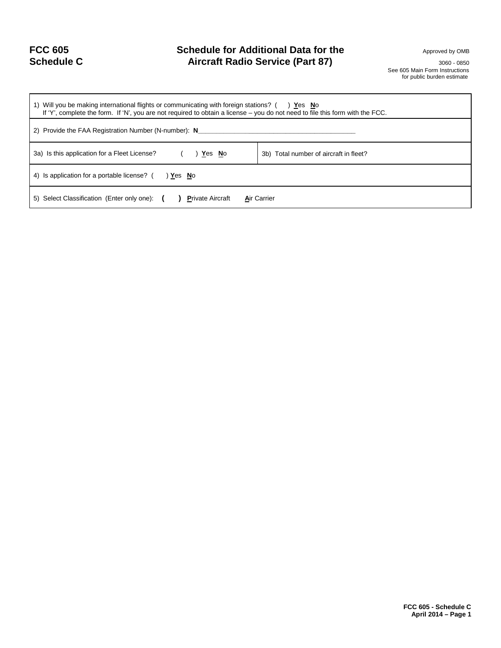| <b>FCC 605</b>    |  |
|-------------------|--|
| <b>Schedule C</b> |  |

## **Schedule for Additional Data for the <b>Schedule for Additional Data for the** Approved by OMB Aircraft Radio Service (Part 87) **Aircraft Radio Service (Part 87)**

 See 605 Main Form Instructions for public burden estimate

| 1) Will you be making international flights or communicating with foreign stations? () Yes No<br>If 'Y', complete the form. If 'N', you are not required to obtain a license – you do not need to file this form with the FCC. |                                        |  |
|--------------------------------------------------------------------------------------------------------------------------------------------------------------------------------------------------------------------------------|----------------------------------------|--|
| 2) Provide the FAA Registration Number (N-number): N_                                                                                                                                                                          |                                        |  |
| 3a) Is this application for a Fleet License?<br>Yes No                                                                                                                                                                         | 3b) Total number of aircraft in fleet? |  |
| 4) Is application for a portable license? (<br>) Yes No                                                                                                                                                                        |                                        |  |
| 5) Select Classification (Enter only one): ( ) Private Aircraft<br><b>Air Carrier</b>                                                                                                                                          |                                        |  |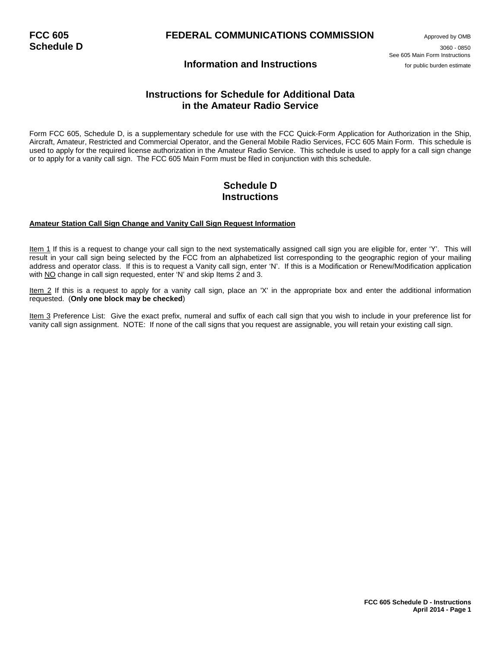# **FCC 605 FEDERAL COMMUNICATIONS COMMISSION** Approved by OMB<br> **Schedule D** 3060 - 0850

**Schedule D** 3060 - <sup>0850</sup> See 605 Main Form Instructions

### **Information and Instructions** *Information* **and Instructions**

### **Instructions for Schedule for Additional Data in the Amateur Radio Service**

Form FCC 605, Schedule D, is a supplementary schedule for use with the FCC Quick-Form Application for Authorization in the Ship, Aircraft, Amateur, Restricted and Commercial Operator, and the General Mobile Radio Services, FCC 605 Main Form. This schedule is used to apply for the required license authorization in the Amateur Radio Service. This schedule is used to apply for a call sign change or to apply for a vanity call sign. The FCC 605 Main Form must be filed in conjunction with this schedule.

### **Schedule D Instructions**

#### **Amateur Station Call Sign Change and Vanity Call Sign Request Information**

Item 1 If this is a request to change your call sign to the next systematically assigned call sign you are eligible for, enter 'Y'. This will result in your call sign being selected by the FCC from an alphabetized list corresponding to the geographic region of your mailing address and operator class. If this is to request a Vanity call sign, enter 'N'. If this is a Modification or Renew/Modification application with NO change in call sign requested, enter 'N' and skip Items 2 and 3.

Item 2 If this is a request to apply for a vanity call sign, place an 'X' in the appropriate box and enter the additional information requested. (**Only one block may be checked**)

Item 3 Preference List: Give the exact prefix, numeral and suffix of each call sign that you wish to include in your preference list for vanity call sign assignment. NOTE: If none of the call signs that you request are assignable, you will retain your existing call sign.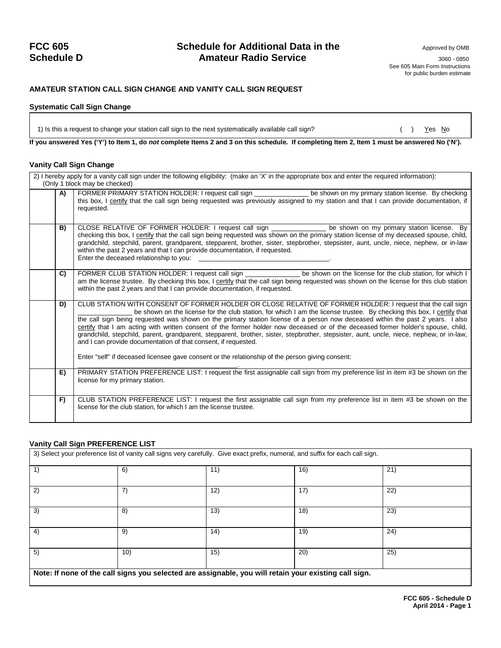### **FCC 605 Schedule for Additional Data in the** Approved by OMB **Schedule D Amateur Radio Service** 3060 - 0850 3060 - 0850

 See 605 Main Form Instructions for public burden estimate

### **AMATEUR STATION CALL SIGN CHANGE AND VANITY CALL SIGN REQUEST**

#### **Systematic Call Sign Change**

1) Is this a request to change your station call sign to the next systematically available call sign? () Yes No

**If you answered Yes ('Y') to Item 1, do** *not* **complete Items 2 and 3 on this schedule. If completing Item 2, Item 1 must be answered No ('N').**

#### **Vanity Call Sign Change**

|    | 2) I hereby apply for a vanity call sign under the following eligibility: (make an 'X' in the appropriate box and enter the required information):<br>(Only 1 block may be checked)                                                                                                                                                                                                                                                                                                                                                                                                                                                                                                                                                                                                                                             |
|----|---------------------------------------------------------------------------------------------------------------------------------------------------------------------------------------------------------------------------------------------------------------------------------------------------------------------------------------------------------------------------------------------------------------------------------------------------------------------------------------------------------------------------------------------------------------------------------------------------------------------------------------------------------------------------------------------------------------------------------------------------------------------------------------------------------------------------------|
| A) | FORMER PRIMARY STATION HOLDER: I request call sign _______________ be shown on my primary station license. By checking<br>this box, I certify that the call sign being requested was previously assigned to my station and that I can provide documentation, if<br>requested.                                                                                                                                                                                                                                                                                                                                                                                                                                                                                                                                                   |
| B) | CLOSE RELATIVE OF FORMER HOLDER: I request call sign _______________ be shown on my primary station license. By<br>checking this box, I certify that the call sign being requested was shown on the primary station license of my deceased spouse, child,<br>grandchild, stepchild, parent, grandparent, stepparent, brother, sister, stepbrother, stepsister, aunt, uncle, niece, nephew, or in-law<br>within the past 2 years and that I can provide documentation, if requested.<br>Enter the deceased relationship to you:                                                                                                                                                                                                                                                                                                  |
| C) | FORMER CLUB STATION HOLDER: I request call sign _______________ be shown on the license for the club station, for which I<br>am the license trustee. By checking this box, I certify that the call sign being requested was shown on the license for this club station<br>within the past 2 years and that I can provide documentation, if requested.                                                                                                                                                                                                                                                                                                                                                                                                                                                                           |
| D) | CLUB STATION WITH CONSENT OF FORMER HOLDER OR CLOSE RELATIVE OF FORMER HOLDER: I request that the call sign<br>be shown on the license for the club station, for which I am the license trustee. By checking this box, I certify that<br>the call sign being requested was shown on the primary station license of a person now deceased within the past 2 years. I also<br>certify that I am acting with written consent of the former holder now deceased or of the deceased former holder's spouse, child,<br>grandchild, stepchild, parent, grandparent, stepparent, brother, sister, stepbrother, stepsister, aunt, uncle, niece, nephew, or in-law,<br>and I can provide documentation of that consent, if requested.<br>Enter "self" if deceased licensee gave consent or the relationship of the person giving consent: |
| E) | PRIMARY STATION PREFERENCE LIST: I request the first assignable call sign from my preference list in item #3 be shown on the<br>license for my primary station.                                                                                                                                                                                                                                                                                                                                                                                                                                                                                                                                                                                                                                                                 |
| F) | CLUB STATION PREFERENCE LIST: I request the first assignable call sign from my preference list in item #3 be shown on the<br>license for the club station, for which I am the license trustee.                                                                                                                                                                                                                                                                                                                                                                                                                                                                                                                                                                                                                                  |

#### **Vanity Call Sign PREFERENCE LIST**

3) Select your preference list of vanity call signs very carefully. Give exact prefix, numeral, and suffix for each call sign.

|                                                                                                       | 6)  | 11   | 16) | 21) |  |
|-------------------------------------------------------------------------------------------------------|-----|------|-----|-----|--|
| 2                                                                                                     |     | 12   | 17  | 22' |  |
| 3)                                                                                                    | 8)  | (13) | 18) | 23) |  |
| 4)                                                                                                    | 9)  | 14)  | 19) | 24) |  |
| 5)                                                                                                    | 10) | 15)  | 20) | 25) |  |
| Note: If none of the call signs you selected are assignable, you will retain your existing call sign. |     |      |     |     |  |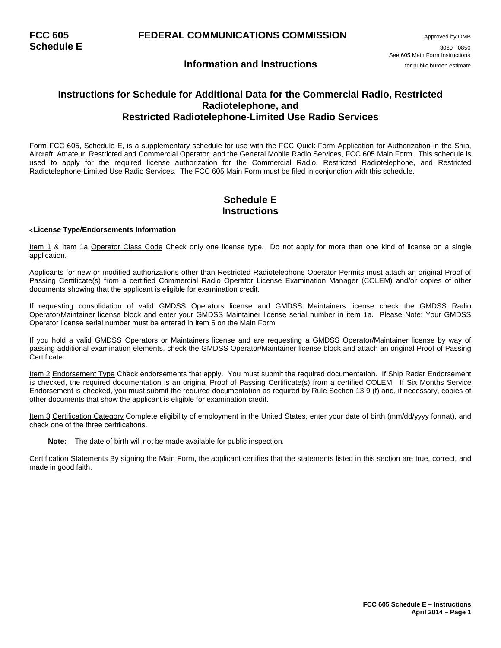### **Information and Instructions** *Information* **and Instructions**

### **Instructions for Schedule for Additional Data for the Commercial Radio, Restricted Radiotelephone, and Restricted Radiotelephone-Limited Use Radio Services**

Form FCC 605, Schedule E, is a supplementary schedule for use with the FCC Quick-Form Application for Authorization in the Ship, Aircraft, Amateur, Restricted and Commercial Operator, and the General Mobile Radio Services, FCC 605 Main Form. This schedule is used to apply for the required license authorization for the Commercial Radio, Restricted Radiotelephone, and Restricted Radiotelephone-Limited Use Radio Services. The FCC 605 Main Form must be filed in conjunction with this schedule.

### **Schedule E Instructions**

#### <**License Type/Endorsements Information**

Item 1 & Item 1a Operator Class Code Check only one license type. Do not apply for more than one kind of license on a single application.

Applicants for new or modified authorizations other than Restricted Radiotelephone Operator Permits must attach an original Proof of Passing Certificate(s) from a certified Commercial Radio Operator License Examination Manager (COLEM) and/or copies of other documents showing that the applicant is eligible for examination credit.

If requesting consolidation of valid GMDSS Operators license and GMDSS Maintainers license check the GMDSS Radio Operator/Maintainer license block and enter your GMDSS Maintainer license serial number in item 1a. Please Note: Your GMDSS Operator license serial number must be entered in item 5 on the Main Form.

If you hold a valid GMDSS Operators or Maintainers license and are requesting a GMDSS Operator/Maintainer license by way of passing additional examination elements, check the GMDSS Operator/Maintainer license block and attach an original Proof of Passing Certificate.

Item 2 Endorsement Type Check endorsements that apply. You must submit the required documentation. If Ship Radar Endorsement is checked, the required documentation is an original Proof of Passing Certificate(s) from a certified COLEM. If Six Months Service Endorsement is checked, you must submit the required documentation as required by Rule Section 13.9 (f) and, if necessary, copies of other documents that show the applicant is eligible for examination credit.

Item 3 Certification Category Complete eligibility of employment in the United States, enter your date of birth (mm/dd/yyyy format), and check one of the three certifications.

**Note:** The date of birth will not be made available for public inspection.

Certification Statements By signing the Main Form, the applicant certifies that the statements listed in this section are true, correct, and made in good faith.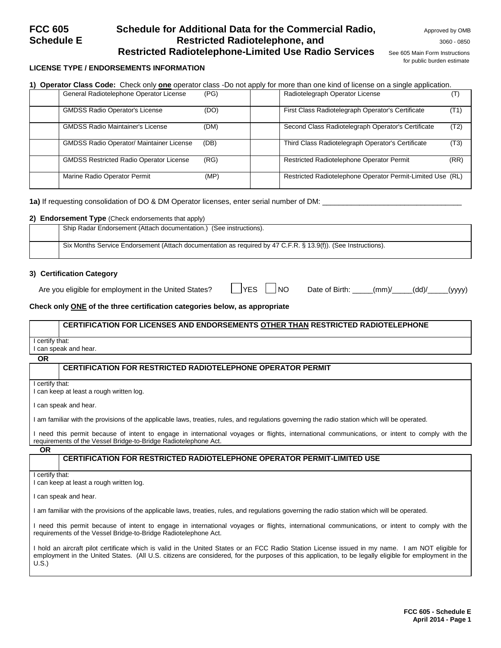### **FCC 605** Schedule for Additional Data for the Commercial Radio, Approved by OMB **Schedule E Restricted Radiotelephone, and <b>SCHED AND REST** 3060 - 0850 **Restricted Radiotelephone-Limited Use Radio Services** See 605 Main Form Instructions

for public burden estimate

### **LICENSE TYPE / ENDORSEMENTS INFORMATION**

**1) Operator Class Code:** Check only **one** operator class -Do not apply for more than one kind of license on a single application. General Radiotelephone Operator License GMDSS Radio Operator's License (DO) (DO) First Class Radiotelegraph Operator's Certificate (T1) GMDSS Radio Maintainer's License (DM) Second Class Radiotelegraph Operator's Certificate (T2) GMDSS Radio Operator/ Maintainer License (DB) Third Class Radiotelegraph Operator's Certificate (T3) GMDSS Restricted Radio Operator License (RG) Restricted Radiotelephone Operator Permit (RR) Restricted Radiotelephone Operator Permit Marine Radio Operator Permit (MP) (MP) Restricted Radiotelephone Operator Permit-Limited Use (RL)

**1a)** If requesting consolidation of DO & DM Operator licenses, enter serial number of DM: \_

#### **2) Endorsement Type** (Check endorsements that apply)

| Ship Radar Endorsement (Attach documentation.) (See instructions).                                            |
|---------------------------------------------------------------------------------------------------------------|
| Six Months Service Endorsement (Attach documentation as required by 47 C.F.R. § 13.9(f)). (See Instructions). |

#### **3) Certification Category**

Are you eligible for employment in the United States?  $\Box$  YES  $\Box$  NO Date of Birth:  $\Box$  (mm)/\_\_\_\_(dd)/\_\_\_\_(yyyy)

#### **Check only ONE of the three certification categories below, as appropriate**

#### **CERTIFICATION FOR LICENSES AND ENDORSEMENTS OTHER THAN RESTRICTED RADIOTELEPHONE**

I certify that:

**OR**

I can speak and hear.

#### **CERTIFICATION FOR RESTRICTED RADIOTELEPHONE OPERATOR PERMIT**

I certify that:

I can keep at least a rough written log.

I can speak and hear.

I am familiar with the provisions of the applicable laws, treaties, rules, and regulations governing the radio station which will be operated.

I need this permit because of intent to engage in international voyages or flights, international communications, or intent to comply with the requirements of the Vessel Bridge-to-Bridge Radiotelephone Act.

**OR**

#### **CERTIFICATION FOR RESTRICTED RADIOTELEPHONE OPERATOR PERMIT-LIMITED USE**

I certify that:

I can keep at least a rough written log.

I can speak and hear.

I am familiar with the provisions of the applicable laws, treaties, rules, and regulations governing the radio station which will be operated.

I need this permit because of intent to engage in international voyages or flights, international communications, or intent to comply with the requirements of the Vessel Bridge-to-Bridge Radiotelephone Act.

I hold an aircraft pilot certificate which is valid in the United States or an FCC Radio Station License issued in my name. I am NOT eligible for employment in the United States. (All U.S. citizens are considered, for the purposes of this application, to be legally eligible for employment in the U.S.)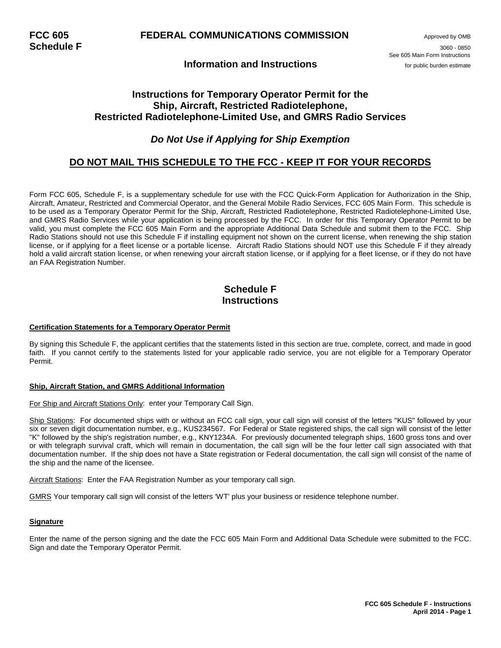### **Information and Instructions** *Information* **and Instructions**

**Schedule F** 3060 - <sup>0850</sup> See 605 Main Form Instructions

### **Instructions for Temporary Operator Permit for the Ship, Aircraft, Restricted Radiotelephone, Restricted Radiotelephone-Limited Use, and GMRS Radio Services**

### *Do Not Use if Applying for Ship Exemption*

### **DO NOT MAIL THIS SCHEDULE TO THE FCC - KEEP IT FOR YOUR RECORDS**

Form FCC 605, Schedule F, is a supplementary schedule for use with the FCC Quick-Form Application for Authorization in the Ship, Aircraft, Amateur, Restricted and Commercial Operator, and the General Mobile Radio Services, FCC 605 Main Form. This schedule is to be used as a Temporary Operator Permit for the Ship, Aircraft, Restricted Radiotelephone, Restricted Radiotelephone-Limited Use, and GMRS Radio Services while your application is being processed by the FCC. In order for this Temporary Operator Permit to be valid, you must complete the FCC 605 Main Form and the appropriate Additional Data Schedule and submit them to the FCC. Ship Radio Stations should not use this Schedule F if installing equipment not shown on the current license, when renewing the ship station license, or if applying for a fleet license or a portable license. Aircraft Radio Stations should NOT use this Schedule F if they already hold a valid aircraft station license, or when renewing your aircraft station license, or if applying for a fleet license, or if they do not have an FAA Registration Number.

### **Schedule F Instructions**

#### **Certification Statements for a Temporary Operator Permit**

By signing this Schedule F, the applicant certifies that the statements listed in this section are true, complete, correct, and made in good faith. If you cannot certify to the statements listed for your applicable radio service, you are not eligible for a Temporary Operator Permit.

#### **Ship, Aircraft Station, and GMRS Additional Information**

#### For Ship and Aircraft Stations Only: enter your Temporary Call Sign.

Ship Stations: For documented ships with or without an FCC call sign, your call sign will consist of the letters "KUS" followed by your six or seven digit documentation number, e.g., KUS234567. For Federal or State registered ships, the call sign will consist of the letter "K" followed by the ship's registration number, e.g., KNY1234A. For previously documented telegraph ships, 1600 gross tons and over or with telegraph survival craft, which will remain in documentation, the call sign will be the four letter call sign associated with that documentation number. If the ship does not have a State registration or Federal documentation, the call sign will consist of the name of the ship and the name of the licensee.

Aircraft Stations: Enter the FAA Registration Number as your temporary call sign.

GMRS Your temporary call sign will consist of the letters 'WT' plus your business or residence telephone number.

#### **Signature**

Enter the name of the person signing and the date the FCC 605 Main Form and Additional Data Schedule were submitted to the FCC. Sign and date the Temporary Operator Permit.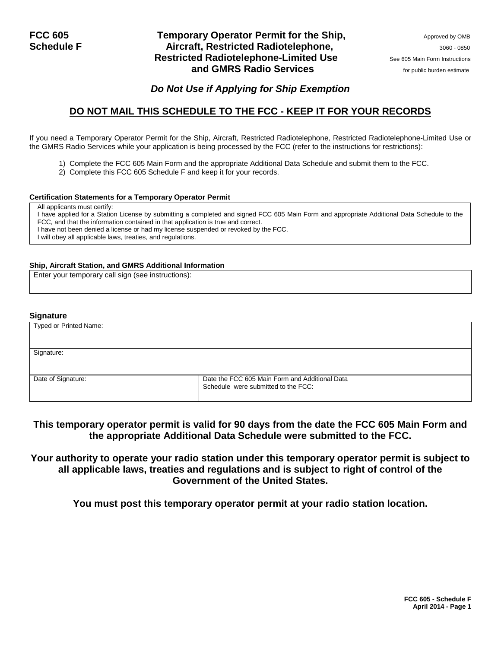### **FCC 605** Temporary Operator Permit for the Ship, Approved by OMB **Schedule F** Approved by OMB **Approved by OMB Approved by OMB Approved by OMB** Aircraft, Restricted Radiotelephone, **Aircraft, Restricted Radiotelephone**, **Restricted Radiotelephone-Limited Use** See 605 Main Form Instructions **and GMRS Radio Services** *CON**Services for public burden estimate*

### *Do Not Use if Applying for Ship Exemption*

## **DO NOT MAIL THIS SCHEDULE TO THE FCC - KEEP IT FOR YOUR RECORDS**

If you need a Temporary Operator Permit for the Ship, Aircraft, Restricted Radiotelephone, Restricted Radiotelephone-Limited Use or the GMRS Radio Services while your application is being processed by the FCC (refer to the instructions for restrictions):

- 1) Complete the FCC 605 Main Form and the appropriate Additional Data Schedule and submit them to the FCC.
- 2) Complete this FCC 605 Schedule F and keep it for your records.

#### **Certification Statements for a Temporary Operator Permit**

All applicants must certify:

I have applied for a Station License by submitting a completed and signed FCC 605 Main Form and appropriate Additional Data Schedule to the FCC, and that the information contained in that application is true and correct.

I have not been denied a license or had my license suspended or revoked by the FCC.

I will obey all applicable laws, treaties, and regulations.

#### **Ship, Aircraft Station, and GMRS Additional Information**

Enter your temporary call sign (see instructions):

#### **Signature**

| Typed or Printed Name: |                                                                                       |
|------------------------|---------------------------------------------------------------------------------------|
|                        |                                                                                       |
| Signature:             |                                                                                       |
|                        |                                                                                       |
| Date of Signature:     | Date the FCC 605 Main Form and Additional Data<br>Schedule were submitted to the FCC: |

### **This temporary operator permit is valid for 90 days from the date the FCC 605 Main Form and the appropriate Additional Data Schedule were submitted to the FCC.**

**Your authority to operate your radio station under this temporary operator permit is subject to all applicable laws, treaties and regulations and is subject to right of control of the Government of the United States.**

**You must post this temporary operator permit at your radio station location.**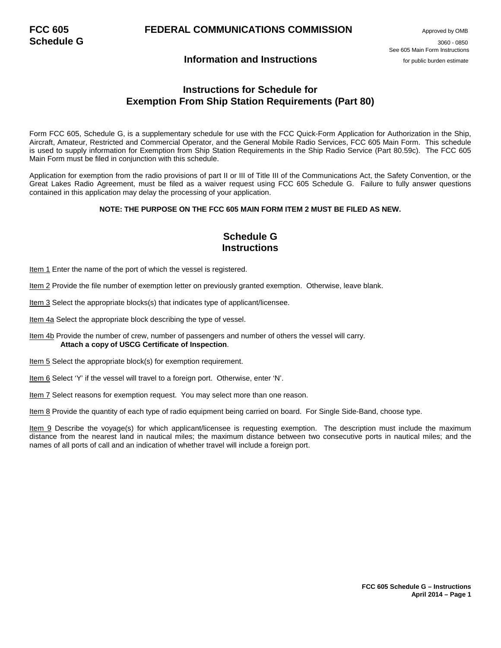### **Information and Instructions** *Information and Instructions*

**Schedule G** 3060 - <sup>0850</sup> See 605 Main Form Instructions

### **Instructions for Schedule for Exemption From Ship Station Requirements (Part 80)**

Form FCC 605, Schedule G, is a supplementary schedule for use with the FCC Quick-Form Application for Authorization in the Ship, Aircraft, Amateur, Restricted and Commercial Operator, and the General Mobile Radio Services, FCC 605 Main Form. This schedule is used to supply information for Exemption from Ship Station Requirements in the Ship Radio Service (Part 80.59c). The FCC 605 Main Form must be filed in conjunction with this schedule.

Application for exemption from the radio provisions of part II or III of Title III of the Communications Act, the Safety Convention, or the Great Lakes Radio Agreement, must be filed as a waiver request using FCC 605 Schedule G. Failure to fully answer questions contained in this application may delay the processing of your application.

#### **NOTE: THE PURPOSE ON THE FCC 605 MAIN FORM ITEM 2 MUST BE FILED AS NEW.**

### **Schedule G Instructions**

Item 1 Enter the name of the port of which the vessel is registered.

Item 2 Provide the file number of exemption letter on previously granted exemption. Otherwise, leave blank.

Item 3 Select the appropriate blocks(s) that indicates type of applicant/licensee.

Item 4a Select the appropriate block describing the type of vessel.

Item 4b Provide the number of crew, number of passengers and number of others the vessel will carry.  **Attach a copy of USCG Certificate of Inspection**.

Item 5 Select the appropriate block(s) for exemption requirement.

Item 6 Select 'Y' if the vessel will travel to a foreign port. Otherwise, enter 'N'.

Item 7 Select reasons for exemption request. You may select more than one reason.

Item 8 Provide the quantity of each type of radio equipment being carried on board. For Single Side-Band, choose type.

Item 9 Describe the voyage(s) for which applicant/licensee is requesting exemption. The description must include the maximum distance from the nearest land in nautical miles; the maximum distance between two consecutive ports in nautical miles; and the names of all ports of call and an indication of whether travel will include a foreign port.